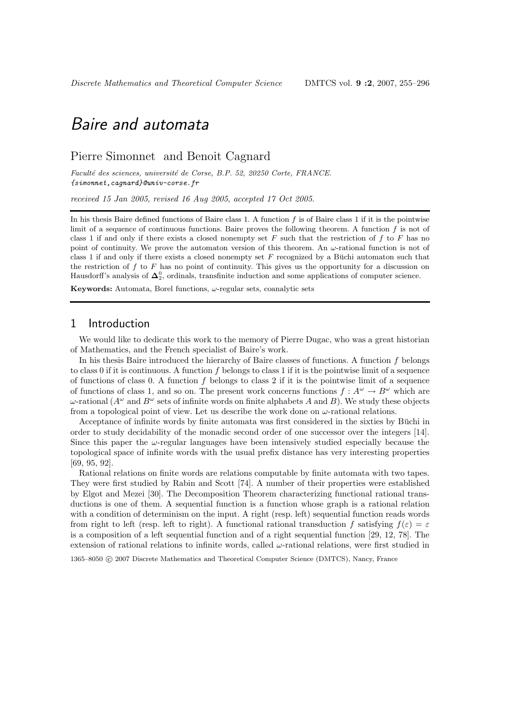## Pierre Simonnet and Benoit Cagnard

Faculté des sciences, université de Corse, B.P. 52, 20250 Corte, FRANCE. {simonnet,cagnard}@univ-corse.fr

received 15 Jan 2005, revised 16 Aug 2005, accepted 17 Oct 2005.

In his thesis Baire defined functions of Baire class 1. A function  $f$  is of Baire class 1 if it is the pointwise limit of a sequence of continuous functions. Baire proves the following theorem. A function  $f$  is not of class 1 if and only if there exists a closed nonempty set  $F$  such that the restriction of  $f$  to  $F$  has no point of continuity. We prove the automaton version of this theorem. An  $\omega$ -rational function is not of class 1 if and only if there exists a closed nonempty set  $F$  recognized by a Buchi automaton such that the restriction of  $f$  to  $F$  has no point of continuity. This gives us the opportunity for a discussion on Hausdorff's analysis of  $\Delta_2^0$ , ordinals, transfinite induction and some applications of computer science.

Keywords: Automata, Borel functions,  $\omega$ -regular sets, coanalytic sets

## 1 Introduction

We would like to dedicate this work to the memory of Pierre Dugac, who was a great historian of Mathematics, and the French specialist of Baire's work.

In his thesis Baire introduced the hierarchy of Baire classes of functions. A function  $f$  belongs to class 0 if it is continuous. A function  $f$  belongs to class 1 if it is the pointwise limit of a sequence of functions of class 0. A function f belongs to class 2 if it is the pointwise limit of a sequence of functions of class 1, and so on. The present work concerns functions  $f: A^{\omega} \to B^{\omega}$  which are  $\omega$ -rational  $(A^{\omega}$  and  $B^{\omega}$  sets of infinite words on finite alphabets A and B). We study these objects from a topological point of view. Let us describe the work done on  $\omega$ -rational relations.

Acceptance of infinite words by finite automata was first considered in the sixties by Büchi in order to study decidability of the monadic second order of one successor over the integers [14]. Since this paper the  $\omega$ -regular languages have been intensively studied especially because the topological space of infinite words with the usual prefix distance has very interesting properties [69, 95, 92].

Rational relations on finite words are relations computable by finite automata with two tapes. They were first studied by Rabin and Scott [74]. A number of their properties were established by Elgot and Mezei [30]. The Decomposition Theorem characterizing functional rational transductions is one of them. A sequential function is a function whose graph is a rational relation with a condition of determinism on the input. A right (resp. left) sequential function reads words from right to left (resp. left to right). A functional rational transduction f satisfying  $f(\varepsilon) = \varepsilon$ is a composition of a left sequential function and of a right sequential function [29, 12, 78]. The extension of rational relations to infinite words, called  $\omega$ -rational relations, were first studied in

1365–8050 c 2007 Discrete Mathematics and Theoretical Computer Science (DMTCS), Nancy, France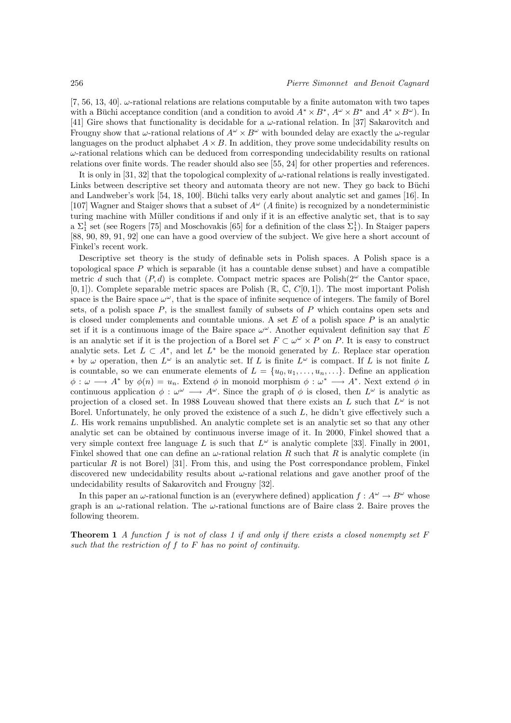[7, 56, 13, 40].  $\omega$ -rational relations are relations computable by a finite automaton with two tapes with a Büchi acceptance condition (and a condition to avoid  $A^* \times B^*$ ,  $A^{\omega} \times B^*$  and  $A^* \times B^{\omega}$ ). In [41] Gire shows that functionality is decidable for a  $\omega$ -rational relation. In [37] Sakarovitch and Frougny show that  $\omega$ -rational relations of  $A^{\omega} \times B^{\omega}$  with bounded delay are exactly the  $\omega$ -regular languages on the product alphabet  $A \times B$ . In addition, they prove some undecidability results on  $\omega$ -rational relations which can be deduced from corresponding undecidability results on rational relations over finite words. The reader should also see [55, 24] for other properties and references.

It is only in [31, 32] that the topological complexity of  $\omega$ -rational relations is really investigated. Links between descriptive set theory and automata theory are not new. They go back to Büchi and Landweber's work [54, 18, 100]. Büchi talks very early about analytic set and games [16]. In [107] Wagner and Staiger shows that a subset of  $A^{\omega}$  (A finite) is recognized by a nondeterministic turing machine with Müller conditions if and only if it is an effective analytic set, that is to say a  $\Sigma_1^1$  set (see Rogers [75] and Moschovakis [65] for a definition of the class  $\Sigma_1^1$ ). In Staiger papers [88, 90, 89, 91, 92] one can have a good overview of the subject. We give here a short account of Finkel's recent work.

Descriptive set theory is the study of definable sets in Polish spaces. A Polish space is a topological space  $P$  which is separable (it has a countable dense subset) and have a compatible metric d such that  $(P, d)$  is complete. Compact metric spaces are Polish $(2^{\omega})$  the Cantor space,  $[0, 1]$ ). Complete separable metric spaces are Polish ( $\mathbb{R}, \mathbb{C}, C[0, 1]$ ). The most important Polish space is the Baire space  $\omega^{\omega}$ , that is the space of infinite sequence of integers. The family of Borel sets, of a polish space  $P$ , is the smallest family of subsets of  $P$  which contains open sets and is closed under complements and countable unions. A set  $E$  of a polish space  $P$  is an analytic set if it is a continuous image of the Baire space  $\omega^{\omega}$ . Another equivalent definition say that E is an analytic set if it is the projection of a Borel set  $F \subset \omega^{\omega} \times P$  on P. It is easy to construct analytic sets. Let  $L \subset A^*$ , and let  $L^*$  be the monoid generated by L. Replace star operation  $∗$  by  $ω$  operation, then  $L<sup>ω</sup>$  is an analytic set. If L is finite  $L<sup>ω</sup>$  is compact. If L is not finite L is countable, so we can enumerate elements of  $L = \{u_0, u_1, \ldots, u_n, \ldots\}$ . Define an application  $\phi: \omega \longrightarrow A^*$  by  $\phi(n) = u_n$ . Extend  $\phi$  in monoid morphism  $\phi: \omega^* \longrightarrow A^*$ . Next extend  $\phi$  in continuous application  $\phi : \omega^{\omega} \longrightarrow A^{\omega}$ . Since the graph of  $\phi$  is closed, then  $L^{\omega}$  is analytic as projection of a closed set. In 1988 Louveau showed that there exists an L such that  $L^{\omega}$  is not Borel. Unfortunately, he only proved the existence of a such  $L$ , he didn't give effectively such a L. His work remains unpublished. An analytic complete set is an analytic set so that any other analytic set can be obtained by continuous inverse image of it. In 2000, Finkel showed that a very simple context free language L is such that  $L^{\omega}$  is analytic complete [33]. Finally in 2001, Finkel showed that one can define an  $\omega$ -rational relation R such that R is analytic complete (in particular  $R$  is not Borel) [31]. From this, and using the Post correspondance problem, Finkel discovered new undecidability results about  $\omega$ -rational relations and gave another proof of the undecidability results of Sakarovitch and Frougny [32].

In this paper an  $\omega$ -rational function is an (everywhere defined) application  $f : A^{\omega} \to B^{\omega}$  whose graph is an  $\omega$ -rational relation. The  $\omega$ -rational functions are of Baire class 2. Baire proves the following theorem.

**Theorem 1** A function f is not of class 1 if and only if there exists a closed nonempty set  $F$ such that the restriction of  $f$  to  $F$  has no point of continuity.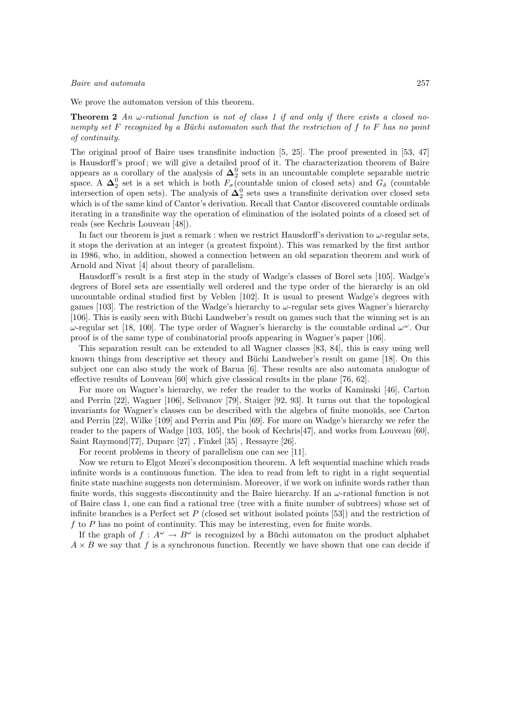We prove the automaton version of this theorem.

**Theorem 2** An  $\omega$ -rational function is not of class 1 if and only if there exists a closed nonempty set F recognized by a Büchi automaton such that the restriction of f to F has no point of continuity.

The original proof of Baire uses transfinite induction [5, 25]. The proof presented in [53, 47] is Hausdorff's proof ; we will give a detailed proof of it. The characterization theorem of Baire appears as a corollary of the analysis of  $\Delta_2^0$  sets in an uncountable complete separable metric space. A  $\Delta_2^0$  set is a set which is both  $F_{\sigma}$  (countable union of closed sets) and  $G_{\delta}$  (countable intersection of open sets). The analysis of  $\Delta_2^0$  sets uses a transfinite derivation over closed sets which is of the same kind of Cantor's derivation. Recall that Cantor discovered countable ordinals iterating in a transfinite way the operation of elimination of the isolated points of a closed set of reals (see Kechris Louveau [48]).

In fact our theorem is just a remark : when we restrict Hausdorff's derivation to  $\omega$ -regular sets, it stops the derivation at an integer (a greatest fixpoint). This was remarked by the first author in 1986, who, in addition, showed a connection between an old separation theorem and work of Arnold and Nivat [4] about theory of parallelism.

Hausdorff's result is a first step in the study of Wadge's classes of Borel sets [105]. Wadge's degrees of Borel sets are essentially well ordered and the type order of the hierarchy is an old uncountable ordinal studied first by Veblen [102]. It is usual to present Wadge's degrees with games [103]. The restriction of the Wadge's hierarchy to ω-regular sets gives Wagner's hierarchy [106]. This is easily seen with Büchi Landweber's result on games such that the winning set is an  $ω$ -regular set [18, 100]. The type order of Wagner's hierarchy is the countable ordinal  $ω<sup>ω</sup>$ . Our proof is of the same type of combinatorial proofs appearing in Wagner's paper [106].

This separation result can be extended to all Wagner classes [83, 84], this is easy using well known things from descriptive set theory and Büchi Landweber's result on game  $[18]$ . On this subject one can also study the work of Barua [6]. These results are also automata analogue of effective results of Louveau [60] which give classical results in the plane [76, 62].

For more on Wagner's hierarchy, we refer the reader to the works of Kaminski [46], Carton and Perrin [22], Wagner [106], Selivanov [79], Staiger [92, 93]. It turns out that the topological invariants for Wagner's classes can be described with the algebra of finite monoïds, see Carton and Perrin [22], Wilke [109] and Perrin and Pin [69]. For more on Wadge's hierarchy we refer the reader to the papers of Wadge [103, 105], the book of Kechris[47], and works from Louveau [60], Saint Raymond[77], Duparc [27] , Finkel [35] , Ressayre [26].

For recent problems in theory of parallelism one can see [11].

Now we return to Elgot Mezei's decomposition theorem. A left sequential machine which reads infinite words is a continuous function. The idea to read from left to right in a right sequential finite state machine suggests non determinism. Moreover, if we work on infinite words rather than finite words, this suggests discontinuity and the Baire hierarchy. If an  $\omega$ -rational function is not of Baire class 1, one can find a rational tree (tree with a finite number of subtrees) whose set of infinite branches is a Perfect set  $P$  (closed set without isolated points [53]) and the restriction of f to  $P$  has no point of continuity. This may be interesting, even for finite words.

If the graph of  $f : A^{\omega} \to B^{\omega}$  is recognized by a Büchi automaton on the product alphabet  $A \times B$  we say that f is a synchronous function. Recently we have shown that one can decide if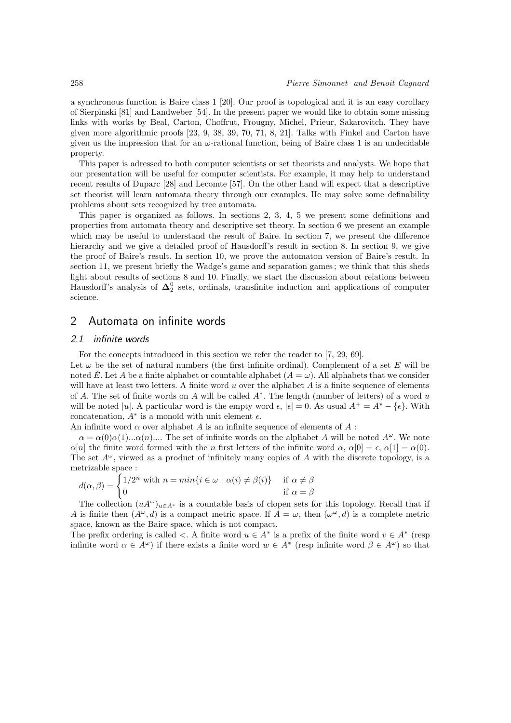a synchronous function is Baire class 1 [20]. Our proof is topological and it is an easy corollary of Sierpinski [81] and Landweber [54]. In the present paper we would like to obtain some missing links with works by Beal, Carton, Choffrut, Frougny, Michel, Prieur, Sakarovitch. They have given more algorithmic proofs [23, 9, 38, 39, 70, 71, 8, 21]. Talks with Finkel and Carton have given us the impression that for an  $\omega$ -rational function, being of Baire class 1 is an undecidable property.

This paper is adressed to both computer scientists or set theorists and analysts. We hope that our presentation will be useful for computer scientists. For example, it may help to understand recent results of Duparc [28] and Lecomte [57]. On the other hand will expect that a descriptive set theorist will learn automata theory through our examples. He may solve some definability problems about sets recognized by tree automata.

This paper is organized as follows. In sections 2, 3, 4, 5 we present some definitions and properties from automata theory and descriptive set theory. In section 6 we present an example which may be useful to understand the result of Baire. In section 7, we present the difference hierarchy and we give a detailed proof of Hausdorff's result in section 8. In section 9, we give the proof of Baire's result. In section 10, we prove the automaton version of Baire's result. In section 11, we present briefly the Wadge's game and separation games; we think that this sheds light about results of sections 8 and 10. Finally, we start the discussion about relations between Hausdorff's analysis of  $\Delta_2^0$  sets, ordinals, transfinite induction and applications of computer science.

## 2 Automata on infinite words

#### 2.1 infinite words

For the concepts introduced in this section we refer the reader to [7, 29, 69].

Let  $\omega$  be the set of natural numbers (the first infinite ordinal). Complement of a set E will be noted E. Let A be a finite alphabet or countable alphabet  $(A = \omega)$ . All alphabets that we consider will have at least two letters. A finite word  $u$  over the alphabet  $A$  is a finite sequence of elements of A. The set of finite words on A will be called  $A^*$ . The length (number of letters) of a word u will be noted |u|. A particular word is the empty word  $\epsilon$ ,  $|\epsilon| = 0$ . As usual  $A^+ = A^* - {\epsilon}$ . With concatenation,  $A^*$  is a monoïd with unit element  $\epsilon$ .

An infinite word  $\alpha$  over alphabet A is an infinite sequence of elements of A :

 $\alpha = \alpha(0)\alpha(1)...\alpha(n)$ .... The set of infinite words on the alphabet A will be noted  $A^{\omega}$ . We note  $\alpha[n]$  the finite word formed with the n first letters of the infinite word  $\alpha$ ,  $\alpha[0] = \epsilon$ ,  $\alpha[1] = \alpha(0)$ . The set  $A^{\omega}$ , viewed as a product of infinitely many copies of A with the discrete topology, is a metrizable space :

$$
d(\alpha, \beta) = \begin{cases} 1/2^n \text{ with } n = \min\{i \in \omega \mid \alpha(i) \neq \beta(i)\} & \text{if } \alpha \neq \beta \\ 0 & \text{if } \alpha = \beta \end{cases}
$$

The collection  $(uA^{\omega})_{u\in A^*}$  is a countable basis of clopen sets for this topology. Recall that if A is finite then  $(A^{\omega}, d)$  is a compact metric space. If  $A = \omega$ , then  $({\omega}^{\omega}, d)$  is a complete metric space, known as the Baire space, which is not compact.

The prefix ordering is called  $\langle A, \rangle$ . A finite word  $u \in A^*$  is a prefix of the finite word  $v \in A^*$  (resp infinite word  $\alpha \in A^{\omega}$ ) if there exists a finite word  $w \in A^*$  (resp infinite word  $\beta \in A^{\omega}$ ) so that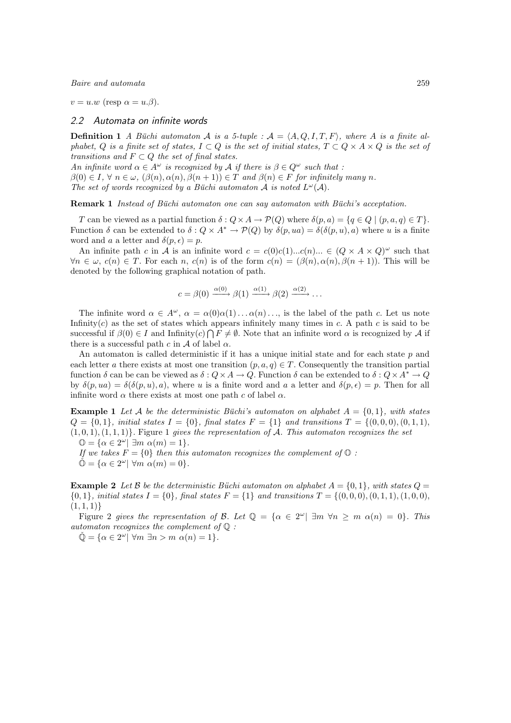$v = u \cdot w$  (resp  $\alpha = u \cdot \beta$ ).

## 2.2 Automata on infinite words

**Definition 1** A Büchi automaton A is a 5-tuple :  $A = \langle A, Q, I, T, F \rangle$ , where A is a finite alphabet, Q is a finite set of states,  $I \subset Q$  is the set of initial states,  $T \subset Q \times A \times Q$  is the set of transitions and  $F \subset Q$  the set of final states.

An infinite word  $\alpha \in A^{\omega}$  is recognized by A if there is  $\beta \in Q^{\omega}$  such that :

 $\beta(0) \in I$ ,  $\forall n \in \omega$ ,  $(\beta(n), \alpha(n), \beta(n+1)) \in T$  and  $\beta(n) \in F$  for infinitely many n.

The set of words recognized by a Büchi automaton  $A$  is noted  $L^{\omega}(\mathcal{A})$ .

**Remark 1** Instead of Büchi automaton one can say automaton with Büchi's acceptation.

T can be viewed as a partial function  $\delta: Q \times A \to \mathcal{P}(Q)$  where  $\delta(p, a) = \{q \in Q \mid (p, a, q) \in T\}.$ Function  $\delta$  can be extended to  $\delta: Q \times A^* \to \mathcal{P}(Q)$  by  $\delta(p, ua) = \delta(\delta(p, u), a)$  where u is a finite word and a a letter and  $\delta(p, \epsilon) = p$ .

An infinite path c in A is an infinite word  $c = c(0)c(1)...c(n)... \in (Q \times A \times Q)^{\omega}$  such that  $\forall n \in \omega, c(n) \in T$ . For each n,  $c(n)$  is of the form  $c(n) = (\beta(n), \alpha(n), \beta(n+1))$ . This will be denoted by the following graphical notation of path.

$$
c = \beta(0) \xrightarrow{\alpha(0)} \beta(1) \xrightarrow{\alpha(1)} \beta(2) \xrightarrow{\alpha(2)} \dots
$$

The infinite word  $\alpha \in A^{\omega}$ ,  $\alpha = \alpha(0)\alpha(1) \dots \alpha(n) \dots$ , is the label of the path c. Let us note Infinity $(c)$  as the set of states which appears infinitely many times in c. A path c is said to be successful if  $\beta(0) \in I$  and Infinity $(c) \cap F \neq \emptyset$ . Note that an infinite word  $\alpha$  is recognized by A if there is a successful path c in A of label  $\alpha$ .

An automaton is called deterministic if it has a unique initial state and for each state  $p$  and each letter a there exists at most one transition  $(p, a, q) \in T$ . Consequently the transition partial function  $\delta$  can be can be viewed as  $\delta: Q \times A \to Q$ . Function  $\delta$  can be extended to  $\delta: Q \times A^* \to Q$ by  $\delta(p, ua) = \delta(\delta(p, u), a)$ , where u is a finite word and a a letter and  $\delta(p, \epsilon) = p$ . Then for all infinite word  $\alpha$  there exists at most one path c of label  $\alpha$ .

**Example 1** Let A be the deterministic Büchi's automaton on alphabet  $A = \{0, 1\}$ , with states  $Q = \{0, 1\}$ , initial states  $I = \{0\}$ , final states  $F = \{1\}$  and transitions  $T = \{(0, 0, 0), (0, 1, 1),$  $(1, 0, 1), (1, 1, 1)$ . Figure 1 gives the representation of A. This automaton recognizes the set  $\mathbb{O} = {\alpha \in 2^{\omega} \mid \exists m \; \alpha(m) = 1}.$ 

If we takes  $F = \{0\}$  then this automaton recognizes the complement of  $\mathbb{O}$ :

 $\check{\mathbb{O}} = {\alpha \in 2^{\omega} \mid \forall m \alpha(m) = 0}.$ 

**Example 2** Let B be the deterministic Buchi automaton on alphabet  $A = \{0, 1\}$ , with states  $Q =$  $\{0,1\}$ , initial states  $I = \{0\}$ , final states  $F = \{1\}$  and transitions  $T = \{(0,0,0), (0,1,1), (1,0,0),$  $(1, 1, 1)$ 

Figure 2 gives the representation of B. Let  $\mathbb{Q} = {\alpha \in 2^{\omega} | \ \exists m \ \forall n \ge m \ \alpha(n) = 0}.$  This automaton recognizes the complement of  $\mathbb{Q}$ :

 $\check{\mathbb{Q}} = {\alpha \in 2^{\omega} \mid \forall m \exists n > m \alpha(n) = 1}.$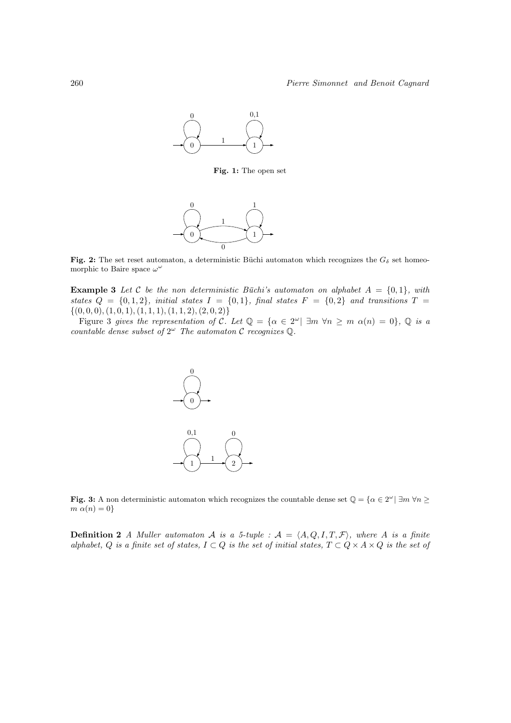

Fig. 1: The open set



Fig. 2: The set reset automaton, a deterministic Büchi automaton which recognizes the  $G_{\delta}$  set homeomorphic to Baire space  $\omega^{\omega}$ 

**Example 3** Let C be the non deterministic Büchi's automaton on alphabet  $A = \{0, 1\}$ , with states  $Q = \{0, 1, 2\}$ , initial states  $I = \{0, 1\}$ , final states  $F = \{0, 2\}$  and transitions  $T =$  $\{(0, 0, 0), (1, 0, 1), (1, 1, 1), (1, 1, 2), (2, 0, 2)\}$ 

Figure 3 gives the representation of C. Let  $\mathbb{Q} = {\alpha \in 2^{\omega} | \ \exists m \ \forall n \ge m \ \alpha(n) = 0}, \ \mathbb{Q}$  is a countable dense subset of  $2^{\omega}$  The automaton C recognizes Q.



Fig. 3: A non deterministic automaton which recognizes the countable dense set  $\mathbb{Q} = \{ \alpha \in 2^{\omega} | \exists m \forall n \geq 1 \}$  $m \alpha(n) = 0$ 

**Definition 2** A Muller automaton A is a 5-tuple :  $A = \langle A, Q, I, T, \mathcal{F} \rangle$ , where A is a finite alphabet, Q is a finite set of states,  $I \subset Q$  is the set of initial states,  $T \subset Q \times A \times Q$  is the set of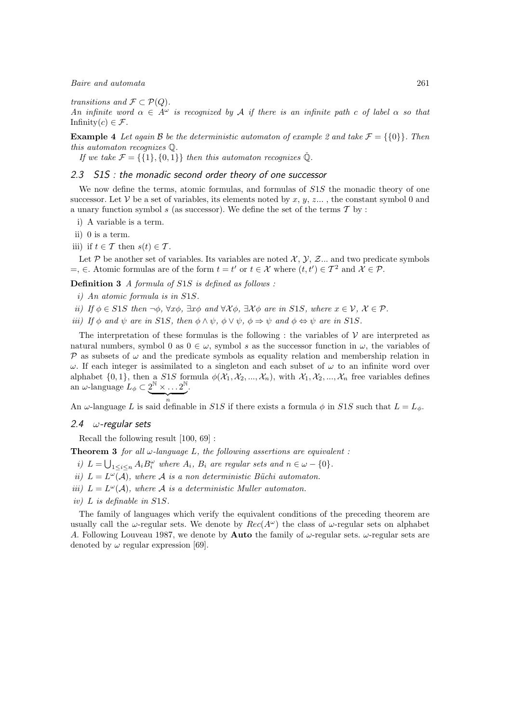transitions and  $\mathcal{F} \subset \mathcal{P}(Q)$ .

An infinite word  $\alpha \in A^{\omega}$  is recognized by A if there is an infinite path c of label  $\alpha$  so that Infinity $(c) \in \mathcal{F}$ .

**Example 4** Let again B be the deterministic automaton of example 2 and take  $\mathcal{F} = \{0\}$ . Then this automaton recognizes Q.

If we take  $\mathcal{F} = \{ \{1\}, \{0, 1\} \}$  then this automaton recognizes  $\check{Q}$ .

#### 2.3 S1S : the monadic second order theory of one successor

We now define the terms, atomic formulas, and formulas of  $S1S$  the monadic theory of one successor. Let V be a set of variables, its elements noted by x,  $y$ , z..., the constant symbol 0 and a unary function symbol  $s$  (as successor). We define the set of the terms  $\mathcal T$  by :

i) A variable is a term.

ii) 0 is a term.

iii) if  $t \in \mathcal{T}$  then  $s(t) \in \mathcal{T}$ .

Let P be another set of variables. Its variables are noted  $\mathcal{X}, \mathcal{Y}, \mathcal{Z}$ ... and two predicate symbols  $=$ , ∈. Atomic formulas are of the form  $t = t'$  or  $t \in \mathcal{X}$  where  $(t, t') \in \mathcal{T}^2$  and  $\mathcal{X} \in \mathcal{P}$ .

Definition 3 A formula of S1S is defined as follows :

 $\overbrace{n}$ 

- i) An atomic formula is in S1S.
- ii) If  $\phi \in S1S$  then  $\neg \phi$ ,  $\forall x \phi$ ,  $\exists x \phi$  and  $\forall x \phi$ ,  $\exists x \phi$  are in S1S, where  $x \in \mathcal{V}$ ,  $\mathcal{X} \in \mathcal{P}$ .
- iii) If  $\phi$  and  $\psi$  are in S1S, then  $\phi \land \psi$ ,  $\phi \lor \psi$ ,  $\phi \Rightarrow \psi$  and  $\phi \Leftrightarrow \psi$  are in S1S.

The interpretation of these formulas is the following : the variables of  $\mathcal V$  are interpreted as natural numbers, symbol 0 as  $0 \in \omega$ , symbol s as the successor function in  $\omega$ , the variables of P as subsets of  $\omega$  and the predicate symbols as equality relation and membership relation in  $ω$ . If each integer is assimilated to a singleton and each subset of  $ω$  to an infinite word over alphabet  $\{0, 1\}$ , then a S1S formula  $\phi(\mathcal{X}_1, \mathcal{X}_2, ..., \mathcal{X}_n)$ , with  $\mathcal{X}_1, \mathcal{X}_2, ..., \mathcal{X}_n$  free variables defines an  $\omega$ -language  $L_{\phi} \subset 2^{\mathbb{N}} \times \ldots 2^{\mathbb{N}}$ .

An  $\omega$ -language L is said definable in S1S if there exists a formula  $\phi$  in S1S such that  $L = L_{\phi}$ .

#### 2.4  $\omega$ -regular sets

Recall the following result [100, 69] :

**Theorem 3** for all  $\omega$ -language L, the following assertions are equivalent :

- i)  $L = \bigcup_{1 \leq i \leq n} A_i B_i^{\omega}$  where  $A_i$ ,  $B_i$  are regular sets and  $n \in \omega \{0\}$ .
- ii)  $L = L^{\omega}(\mathcal{A})$ , where  $\mathcal A$  is a non deterministic Büchi automaton.
- iii)  $L = L^{\omega}(\mathcal{A})$ , where  $\mathcal A$  is a deterministic Muller automaton.
- iv) L is definable in S1S.

The family of languages which verify the equivalent conditions of the preceding theorem are usually call the  $\omega$ -regular sets. We denote by  $Rec(A^{\omega})$  the class of  $\omega$ -regular sets on alphabet A. Following Louveau 1987, we denote by **Auto** the family of  $\omega$ -regular sets.  $\omega$ -regular sets are denoted by  $\omega$  regular expression [69].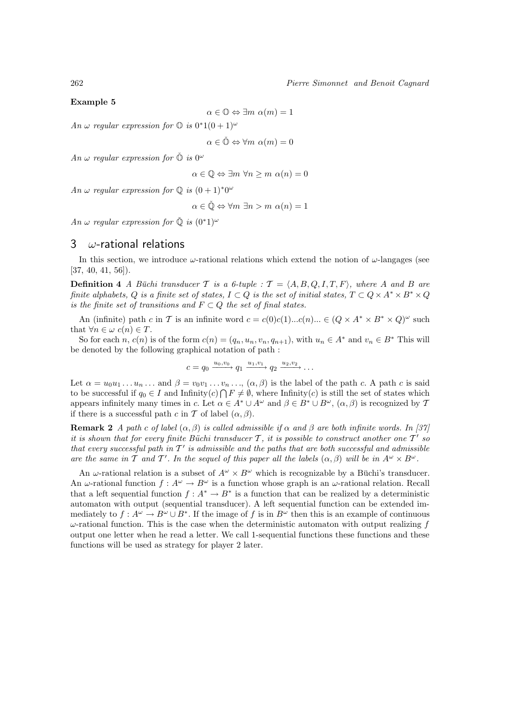#### Example 5

 $\alpha \in \mathbb{O} \Leftrightarrow \exists m \; \alpha(m) = 1$ 

An  $\omega$  regular expression for  $\mathbb{O}$  is  $0^*1(0+1)^{\omega}$ 

 $\alpha \in \check{\mathbb{O}} \Leftrightarrow \forall m \ \alpha(m) = 0$ 

An  $\omega$  regular expression for  $\check{\mathbb{O}}$  is  $0^{\omega}$ 

 $\alpha \in \mathbb{Q} \Leftrightarrow \exists m \; \forall n \ge m \; \alpha(n) = 0$ 

An  $\omega$  regular expression for  $\mathbb Q$  is  $(0+1)^*\theta^\omega$ 

$$
\alpha \in \check{\mathbb{Q}} \Leftrightarrow \forall m \exists n > m \ \alpha(n) = 1
$$

An  $\omega$  regular expression for  $\check{\mathbb{O}}$  is  $(0^*1)^\omega$ 

## 3  $\omega$ -rational relations

In this section, we introduce  $\omega$ -rational relations which extend the notion of  $\omega$ -langages (see [37, 40, 41, 56]).

**Definition 4** A Büchi transducer T is a 6-tuple :  $T = \langle A, B, Q, I, T, F \rangle$ , where A and B are finite alphabets, Q is a finite set of states,  $I \subset Q$  is the set of initial states,  $T \subset Q \times A^* \times B^* \times Q$ is the finite set of transitions and  $F \subset Q$  the set of final states.

An (infinite) path c in T is an infinite word  $c = c(0)c(1)...c(n)... \in (Q \times A^* \times B^* \times Q)^\omega$  such that  $\forall n \in \omega \ c(n) \in T$ .

So for each n,  $c(n)$  is of the form  $c(n) = (q_n, u_n, v_n, q_{n+1})$ , with  $u_n \in A^*$  and  $v_n \in B^*$  This will be denoted by the following graphical notation of path :

$$
c = q_0 \xrightarrow{u_0, v_0} q_1 \xrightarrow{u_1, v_1} q_2 \xrightarrow{u_2, v_2} \dots
$$

Let  $\alpha = u_0u_1 \ldots u_n \ldots$  and  $\beta = v_0v_1 \ldots v_n \ldots$ ,  $(\alpha, \beta)$  is the label of the path c. A path c is said to be successful if  $q_0 \in I$  and Infinity $(c) \cap F \neq \emptyset$ , where Infinity $(c)$  is still the set of states which appears infinitely many times in c. Let  $\alpha \in A^* \cup A^{\omega}$  and  $\beta \in B^* \cup B^{\omega}$ ,  $(\alpha, \beta)$  is recognized by T if there is a successful path c in T of label  $(\alpha, \beta)$ .

**Remark 2** A path c of label  $(\alpha, \beta)$  is called admissible if  $\alpha$  and  $\beta$  are both infinite words. In [37] it is shown that for every finite Büchi transducer  $T$ , it is possible to construct another one  $T'$  so that every successful path in  $T'$  is admissible and the paths that are both successful and admissible are the same in T and T'. In the sequel of this paper all the labels  $(\alpha, \beta)$  will be in  $A^{\omega} \times B^{\omega}$ .

An  $\omega$ -rational relation is a subset of  $A^{\omega} \times B^{\omega}$  which is recognizable by a Büchi's transducer. An  $\omega$ -rational function  $f: A^{\omega} \to B^{\omega}$  is a function whose graph is an  $\omega$ -rational relation. Recall that a left sequential function  $f: A^* \to B^*$  is a function that can be realized by a deterministic automaton with output (sequential transducer). A left sequential function can be extended immediately to  $f: A^{\omega} \to B^{\omega} \cup B^*$ . If the image of f is in  $B^{\omega}$  then this is an example of continuous  $\omega$ -rational function. This is the case when the deterministic automaton with output realizing  $f$ output one letter when he read a letter. We call 1-sequential functions these functions and these functions will be used as strategy for player 2 later.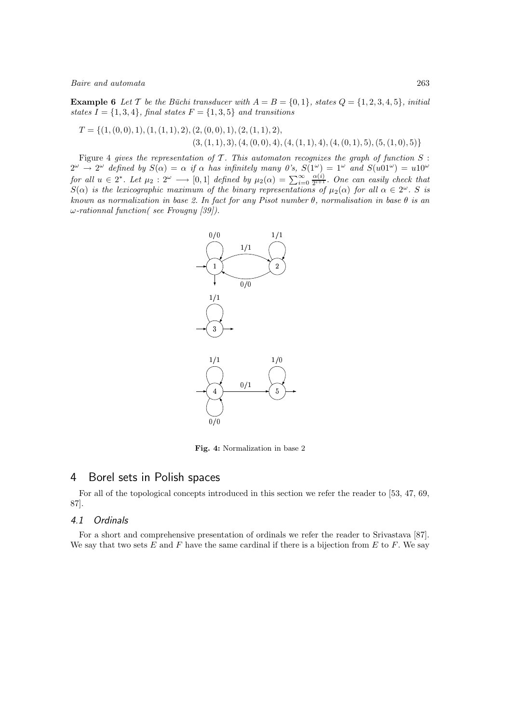**Example 6** Let T be the Büchi transducer with  $A = B = \{0, 1\}$ , states  $Q = \{1, 2, 3, 4, 5\}$ , initial states  $I = \{1, 3, 4\}$ , final states  $F = \{1, 3, 5\}$  and transitions

$$
T = \{ (1, (0,0), 1), (1, (1,1), 2), (2, (0,0), 1), (2, (1,1), 2), (4, (1,1), 4), (4, (0,1), 5), (5, (1,0), 5) \}
$$
  

$$
(3, (1,1), 3), (4, (0,0), 4), (4, (1,1), 4), (4, (0,1), 5), (5, (1,0), 5) \}
$$

Figure 4 gives the representation of  $\mathcal T$ . This automaton recognizes the graph of function  $S$ :  $2^{\omega} \rightarrow 2^{\omega}$  defined by  $S(\alpha) = \alpha$  if  $\alpha$  has infinitely many 0's,  $S(1^{\omega}) = 1^{\omega}$  and  $S(u01^{\omega}) = u10^{\omega}$ for all  $u \in 2^*$ . Let  $\mu_2 : 2^{\omega} \longrightarrow [0,1]$  defined by  $\mu_2(\alpha) = \sum_{i=0}^{\infty} \frac{\alpha(i)}{2^{i+1}}$  $\frac{\alpha(i)}{2^{i+1}}$ . One can easily check that  $S(\alpha)$  is the lexicographic maximum of the binary representations of  $\mu_2(\alpha)$  for all  $\alpha \in 2^{\omega}$ . S is known as normalization in base 2. In fact for any Pisot number  $\theta$ , normalisation in base  $\theta$  is an ω-rationnal function( see Frougny [39]).



Fig. 4: Normalization in base 2

## 4 Borel sets in Polish spaces

For all of the topological concepts introduced in this section we refer the reader to [53, 47, 69, 87].

#### 4.1 Ordinals

For a short and comprehensive presentation of ordinals we refer the reader to Srivastava [87]. We say that two sets  $E$  and  $F$  have the same cardinal if there is a bijection from  $E$  to  $F$ . We say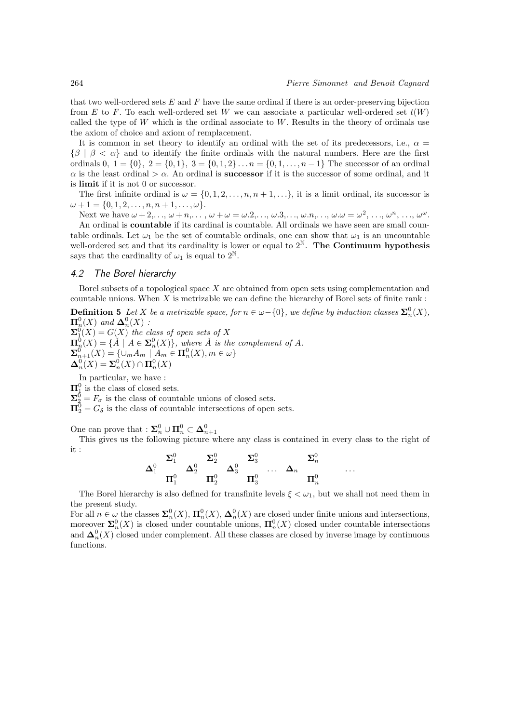that two well-ordered sets  $E$  and  $F$  have the same ordinal if there is an order-preserving bijection from E to F. To each well-ordered set W we can associate a particular well-ordered set  $t(W)$ called the type of  $W$  which is the ordinal associate to  $W$ . Results in the theory of ordinals use the axiom of choice and axiom of remplacement.

It is common in set theory to identify an ordinal with the set of its predecessors, i.e.,  $\alpha =$  $\{\beta \mid \beta \leq \alpha\}$  and to identify the finite ordinals with the natural numbers. Here are the first ordinals 0,  $1 = \{0\}, 2 = \{0, 1\}, 3 = \{0, 1, 2\}, \ldots n = \{0, 1, \ldots, n-1\}$  The successor of an ordinal  $\alpha$  is the least ordinal  $>\alpha$ . An ordinal is **successor** if it is the successor of some ordinal, and it is limit if it is not 0 or successor.

The first infinite ordinal is  $\omega = \{0, 1, 2, \ldots, n, n + 1, \ldots\}$ , it is a limit ordinal, its successor is  $\omega + 1 = \{0, 1, 2, \ldots, n, n + 1, \ldots, \omega\}.$ 

Next we have  $\omega + 2, \ldots, \omega + n, \ldots, \omega + \omega = \omega.2, \ldots, \omega.3, \ldots, \omega.n, \ldots, \omega.\omega = \omega^2, \ldots, \omega^n, \ldots, \omega^\omega.$ An ordinal is countable if its cardinal is countable. All ordinals we have seen are small countable ordinals. Let  $\omega_1$  be the set of countable ordinals, one can show that  $\omega_1$  is an uncountable well-ordered set and that its cardinality is lower or equal to  $2^N$ . The Continuum hypothesis says that the cardinality of  $\omega_1$  is equal to  $2^{\mathbb{N}}$ .

#### 4.2 The Borel hierarchy

Borel subsets of a topological space X are obtained from open sets using complementation and countable unions. When  $X$  is metrizable we can define the hierarchy of Borel sets of finite rank:

**Definition 5** Let X be a metrizable space, for  $n \in \omega - \{0\}$ , we define by induction classes  $\sum_{n=0}^{\infty} (X)$ ,  $\Pi_n^0(X)$  and  $\boldsymbol{\Delta}_n^0(X)$  :

 $\mathbf{\Sigma}^0_\downarrow(X) = G(X)$  the class of open sets of X  $\Pi_n^0(X) = {\{\AA \mid A \in \Sigma_n^0(X)\}},$  where  $\AA$  is the complement of A.  $\mathbf{\Sigma}_{n+1}^{0}(X) = \{ \cup_m A_m \mid A_m \in \mathbf{\Pi}_{n}^{0}(X), m \in \omega \}$  $\boldsymbol{\Delta}_n^0(X) = \boldsymbol{\Sigma}_n^0(X) \cap \boldsymbol{\Pi}_n^0(X)$ 

In particular, we have :

 $\Pi_1^0$  is the class of closed sets.

 $\Sigma^0_2 = F_{\sigma}$  is the class of countable unions of closed sets.

 $\Pi_2^0 = G_\delta$  is the class of countable intersections of open sets.

One can prove that :  $\mathbf{\Sigma}_{n}^{0} \cup \mathbf{\Pi}_{n}^{0} \subset \mathbf{\Delta}_{n+1}^{0}$ 

This gives us the following picture where any class is contained in every class to the right of it :

$$
\Delta^0_1 \quad \dfrac{\Sigma^0_1}{\Pi^0_1} \quad \Delta^0_2 \quad \dfrac{\Sigma^0_2}{\Pi^0_2} \quad \Delta^0_3 \quad \dfrac{\Sigma^0_3}{\Pi^0_3} \quad \ldots \quad \Delta_n \quad \dfrac{\Sigma^0_n}{\Pi^0_n} \qquad \ldots
$$

The Borel hierarchy is also defined for transfinite levels  $\xi < \omega_1$ , but we shall not need them in the present study.

For all  $n \in \omega$  the classes  $\sum_n^0 (X)$ ,  $\prod_n^0 (X)$ ,  $\Delta_n^0(X)$  are closed under finite unions and intersections, moreover  $\Sigma_n^0(X)$  is closed under countable unions,  $\Pi_n^0(X)$  closed under countable intersections and  $\Delta_n^0(X)$  closed under complement. All these classes are closed by inverse image by continuous functions.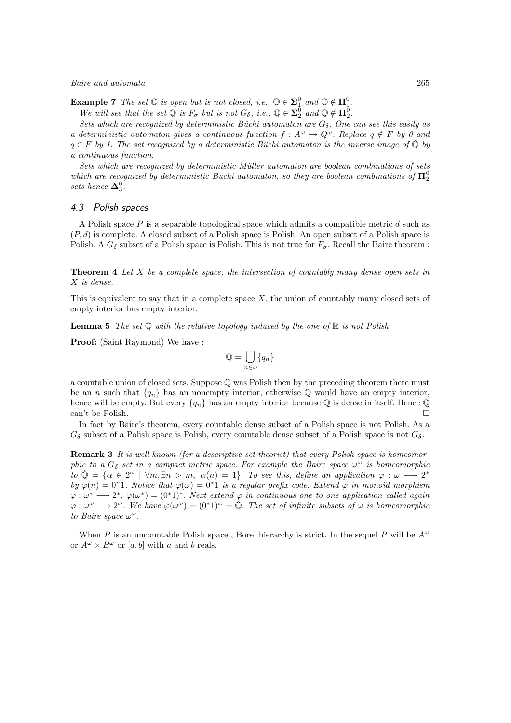**Example 7** The set  $\mathbb{O}$  is open but is not closed, i.e.,  $\mathbb{O} \in \Sigma^0_1$  and  $\mathbb{O} \notin \Pi^0_1$ .

We will see that the set  $\mathbb Q$  is  $F_{\sigma}$  but is not  $G_{\delta}$ , i.e.,  $\mathbb Q \in \Sigma^0_2$  and  $\mathbb Q \notin \mathbb \Pi^0_2$ .

Sets which are recognized by deterministic Büchi automaton are  $G_{\delta}$ . One can see this easily as a deterministic automaton gives a continuous function  $f: A^{\omega} \to Q^{\omega}$ . Replace  $q \notin F$  by 0 and  $q \in F$  by 1. The set recognized by a deterministic Büchi automaton is the inverse image of  $\check{\mathbb{Q}}$  by a continuous function.

Sets which are recognized by deterministic Müller automaton are boolean combinations of sets which are recognized by deterministic Büchi automaton, so they are boolean combinations of  $\Pi^0_2$ sets hence  $\mathbf{\Delta}_3^0$ .

#### 4.3 Polish spaces

A Polish space  $P$  is a separable topological space which admits a compatible metric  $d$  such as  $(P, d)$  is complete. A closed subset of a Polish space is Polish. An open subset of a Polish space is Polish. A  $G_{\delta}$  subset of a Polish space is Polish. This is not true for  $F_{\sigma}$ . Recall the Baire theorem :

**Theorem 4** Let X be a complete space, the intersection of countably many dense open sets in X is dense.

This is equivalent to say that in a complete space  $X$ , the union of countably many closed sets of empty interior has empty interior.

**Lemma 5** The set  $\mathbb Q$  with the relative topology induced by the one of  $\mathbb R$  is not Polish.

Proof: (Saint Raymond) We have :

$$
\mathbb{Q} = \bigcup_{n \in \omega} \{q_n\}
$$

a countable union of closed sets. Suppose Q was Polish then by the preceding theorem there must be an n such that  $\{q_n\}$  has an nonempty interior, otherwise  $\mathbb Q$  would have an empty interior, hence will be empty. But every  $\{q_n\}$  has an empty interior because Q is dense in itself. Hence Q can't be Polish.  $\square$ 

In fact by Baire's theorem, every countable dense subset of a Polish space is not Polish. As a  $G_{\delta}$  subset of a Polish space is Polish, every countable dense subset of a Polish space is not  $G_{\delta}$ .

Remark 3 It is well known (for a descriptive set theorist) that every Polish space is homeomorphic to a  $G_{\delta}$  set in a compact metric space. For example the Baire space  $\omega^{\omega}$  is homeomorphic  $\tilde{u}$   $\tilde{\phi} = {\alpha \in 2^{\omega} \mid \forall m, \exists n > m, \alpha(n) = 1}.$  To see this, define an application  $\varphi : \omega \longrightarrow 2^*$ by  $\varphi(n) = 0^n$ 1. Notice that  $\varphi(\omega) = 0^*1$  is a regular prefix code. Extend  $\varphi$  in monoïd morphism  $\varphi : \omega^* \longrightarrow 2^*, \varphi(\omega^*) = (0^*1)^*.$  Next extend  $\varphi$  in continuous one to one application called again  $\varphi: \omega^{\omega} \longrightarrow 2^{\omega}$ . We have  $\varphi(\omega^{\omega}) = (0^*1)^{\omega} = \mathbb{Q}$ . The set of infinite subsets of  $\omega$  is homeomorphic to Baire space  $\omega^{\omega}$ .

When P is an uncountable Polish space, Borel hierarchy is strict. In the sequel P will be  $A^{\omega}$ or  $A^{\omega} \times B^{\omega}$  or [a, b] with a and b reals.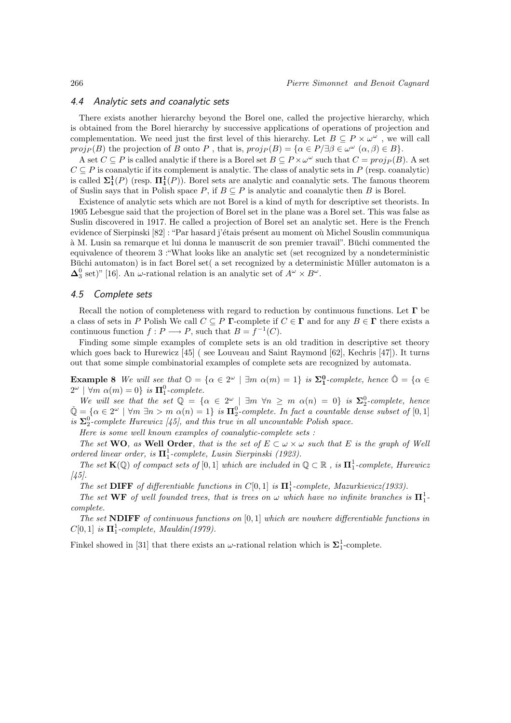## 4.4 Analytic sets and coanalytic sets

There exists another hierarchy beyond the Borel one, called the projective hierarchy, which is obtained from the Borel hierarchy by successive applications of operations of projection and complementation. We need just the first level of this hierarchy. Let  $B \subseteq P \times \omega^{\omega}$ , we will call proj<sub>P</sub>(B) the projection of B onto P, that is,  $proj_P(B) = {\alpha \in P}/{\exists \beta \in \omega^{\omega} \ (\alpha,\beta) \in B}$ .

A set  $C \subseteq P$  is called analytic if there is a Borel set  $B \subseteq P \times \omega^{\omega}$  such that  $C = proj_P(B)$ . A set  $C \subseteq P$  is coanalytic if its complement is analytic. The class of analytic sets in P (resp. coanalytic) is called  $\Sigma_1^1(P)$  (resp.  $\Pi_1^1(P)$ ). Borel sets are analytic and coanalytic sets. The famous theorem of Suslin says that in Polish space P, if  $B \subseteq P$  is analytic and coanalytic then B is Borel.

Existence of analytic sets which are not Borel is a kind of myth for descriptive set theorists. In 1905 Lebesgue said that the projection of Borel set in the plane was a Borel set. This was false as Suslin discovered in 1917. He called a projection of Borel set an analytic set. Here is the French evidence of Sierpinski [82] : "Par hasard j'étais présent au moment où Michel Souslin communiqua à M. Lusin sa remarque et lui donna le manuscrit de son premier travail". Büchi commented the equivalence of theorem 3 :"What looks like an analytic set (set recognized by a nondeterministic Buchi automaton) is in fact Borel set( a set recognized by a deterministic Muller automaton is a  $\Delta_3^0$  set)" [16]. An  $\omega$ -rational relation is an analytic set of  $A^{\omega} \times B^{\omega}$ .

#### 4.5 Complete sets

Recall the notion of completeness with regard to reduction by continuous functions. Let  $\Gamma$  be a class of sets in P Polish We call  $C \subseteq P$  Γ-complete if  $C \in \Gamma$  and for any  $B \in \Gamma$  there exists a continuous function  $f: P \longrightarrow P$ , such that  $B = f^{-1}(C)$ .

Finding some simple examples of complete sets is an old tradition in descriptive set theory which goes back to Hurewicz [45] ( see Louveau and Saint Raymond [62], Kechris [47]). It turns out that some simple combinatorial examples of complete sets are recognized by automata.

**Example 8** We will see that  $\mathbb{O} = {\alpha \in 2^{\omega} \mid \exists m \alpha(m) = 1}$  is  $\mathbb{\Sigma}_{1}^{0}$ -complete, hence  $\mathbb{O} = {\alpha \in 2^{\omega}}$  $2^{\omega}$  |  $\forall m \alpha(m) = 0$ } is  $\Pi_1^0$ -complete.

We will see that the set  $\mathbb{Q} = {\alpha \in 2^{\omega} \mid \exists m \; \forall n \geq m \; \alpha(n) = 0}$  is  $\Sigma_2^0$ -complete, hence We want see that the set  $Q = \{ \alpha \in \mathbb{Z} \mid \exists m \forall n \ge m \alpha(n) = 0 \}$  is  $\Delta_2$ -complete, hence  $\tilde{Q} = \{ \alpha \in 2^{\omega} \mid \forall m \exists n > m \alpha(n) = 1 \}$  is  $\Pi_2^0$ -complete. In fact a countable dense subset of  $[0,1]$ is  $\Sigma_2^0$ -complete Hurewicz [45], and this true in all uncountable Polish space.

Here is some well known examples of coanalytic-complete sets :

The set WO, as Well Order, that is the set of  $E \subset \omega \times \omega$  such that E is the graph of Well ordered linear order, is  $\mathbf{\Pi}_{1}^{1}$ -complete, Lusin Sierpinski (1923).

The set  $K(\mathbb{Q})$  of compact sets of  $[0,1]$  which are included in  $\mathbb{Q} \subset \mathbb{R}$ , is  $\Pi_1^1$ -complete, Hurewicz  $[45]$ .

The set **DIFF** of differentiable functions in  $C[0, 1]$  is  $\mathbf{\Pi}^1_1$ -complete, Mazurkievicz(1933).

The set WF of well founded trees, that is trees on  $\omega$  which have no infinite branches is  $\Pi_1^1$ complete.

The set NDIFF of continuous functions on  $[0, 1]$  which are nowhere differentiable functions in  $C[0, 1]$  is  $\mathbf{\Pi}^1_1$ -complete, Mauldin(1979).

Finkel showed in [31] that there exists an  $\omega$ -rational relation which is  $\Sigma_1^1$ -complete.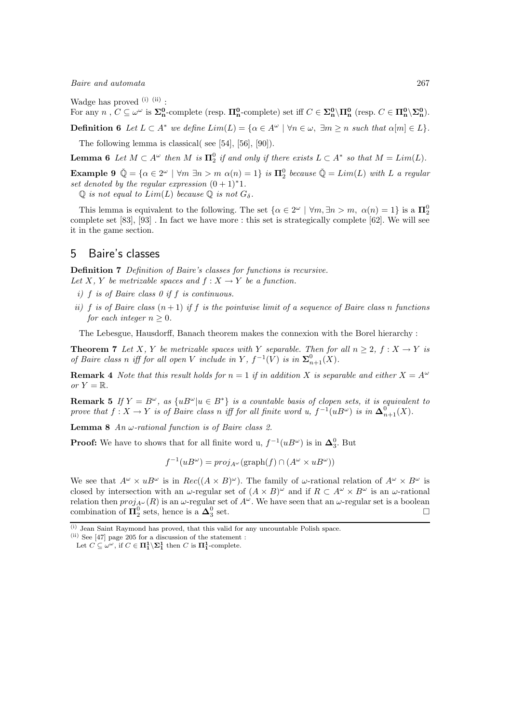Wadge has proved  $(i)$   $(ii)$ :

For any n,  $C \subseteq \omega^{\omega}$  is  $\Sigma_n^0$ -complete (resp.  $\Pi_n^0$ -complete) set iff  $C \in \Sigma_n^0 \setminus \Pi_n^0$  (resp.  $C \in \Pi_n^0 \setminus \Sigma_n^0$ ).

**Definition 6** Let  $L \subset A^*$  we define  $Lim(L) = \{ \alpha \in A^{\omega} \mid \forall n \in \omega, \exists m \geq n \text{ such that } \alpha[m] \in L \}.$ 

The following lemma is classical( see [54], [56], [90]).

**Lemma 6** Let  $M \subset A^{\omega}$  then  $M$  is  $\Pi_2^0$  if and only if there exists  $L \subset A^*$  so that  $M = Lim(L)$ .

Example 9  $\check{\mathbb{Q}} = \{ \alpha \in 2^{\omega} \mid \forall m \exists n > m \; \alpha(n) = 1 \}$  is  $\mathbf{\Pi}_2^0$  because  $\check{\mathbb{Q}} = Lim(L)$  with L a regular set denoted by the regular expression  $(0 + 1)$ <sup>\*</sup>1.

 $\mathbb Q$  is not equal to  $Lim(L)$  because  $\mathbb Q$  is not  $G_\delta$ .

This lemma is equivalent to the following. The set  $\{\alpha \in 2^{\omega} \mid \forall m, \exists n > m, \alpha(n) = 1\}$  is a  $\mathbf{\Pi}_2^0$ complete set [83], [93] . In fact we have more : this set is strategically complete [62]. We will see it in the game section.

## 5 Baire's classes

Definition 7 Definition of Baire's classes for functions is recursive. Let X, Y be metrizable spaces and  $f: X \to Y$  be a function.

- i)  $f$  is of Baire class 0 if  $f$  is continuous.
- ii) f is of Baire class  $(n+1)$  if f is the pointwise limit of a sequence of Baire class n functions for each integer  $n > 0$ .

The Lebesgue, Hausdorff, Banach theorem makes the connexion with the Borel hierarchy :

**Theorem 7** Let X, Y be metrizable spaces with Y separable. Then for all  $n \geq 2$ ,  $f : X \to Y$  is of Baire class n iff for all open V include in Y,  $f^{-1}(V)$  is in  $\Sigma_{n+1}^0(X)$ .

**Remark 4** Note that this result holds for  $n = 1$  if in addition X is separable and either  $X = A^{\omega}$ or  $Y = \mathbb{R}$ .

**Remark 5** If  $Y = B^{\omega}$ , as  $\{uB^{\omega}|u \in B^*\}$  is a countable basis of clopen sets, it is equivalent to prove that  $f: X \to Y$  is of Baire class n iff for all finite word u,  $f^{-1}(uB^{\omega})$  is in  $\Delta_{n+1}^0(X)$ .

**Lemma 8** An  $\omega$ -rational function is of Baire class 2.

**Proof:** We have to shows that for all finite word u,  $f^{-1}(uB^{\omega})$  is in  $\Delta_3^0$ . But

 $f^{-1}(uB^{\omega}) = proj_{A^{\omega}}(\text{graph}(f) \cap (A^{\omega} \times uB^{\omega}))$ 

We see that  $A^{\omega} \times uB^{\omega}$  is in  $Rec((A \times B)^{\omega})$ . The family of  $\omega$ -rational relation of  $A^{\omega} \times B^{\omega}$  is closed by intersection with an  $\omega$ -regular set of  $(A \times B)^\omega$  and if  $R \subset A^\omega \times B^\omega$  is an  $\omega$ -rational relation then  $proj_{A^{\omega}}(R)$  is an  $\omega$ -regular set of  $A^{\omega}$ . We have seen that an  $\omega$ -regular set is a boolean combination of  $\Pi_2^0$  sets, hence is a  $\Delta_3^0$  $\overline{\phantom{a}}$ set.

<sup>(</sup>i) Jean Saint Raymond has proved, that this valid for any uncountable Polish space.

 $(iii)$  See [47] page 205 for a discussion of the statement :

Let  $C \subseteq \omega^{\omega}$ , if  $C \in \Pi_1^1 \backslash \Sigma_1^1$  then C is  $\Pi_1^1$ -complete.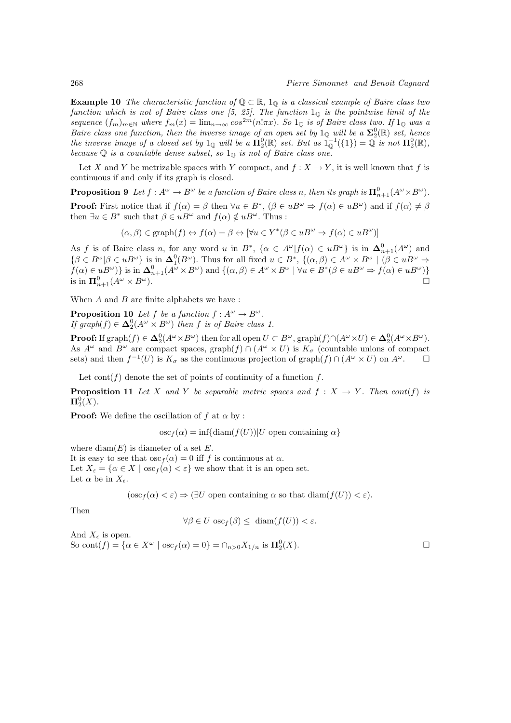**Example 10** The characteristic function of  $\mathbb{Q} \subset \mathbb{R}$ , 1<sub>0</sub> is a classical example of Baire class two function which is not of Baire class one [5, 25]. The function  $1_{\mathbb{Q}}$  is the pointwise limit of the sequence  $(f_m)_{m\in\mathbb{N}}$  where  $f_m(x) = \lim_{n\to\infty} \cos^{2m}(n!\pi x)$ . So  $1_0$  is of Baire class two. If  $1_0$  was a Baire class one function, then the inverse image of an open set by  $1_{\mathbb{Q}}$  will be a  $\Sigma_2^0(\mathbb{R})$  set, hence the inverse image of a closed set by  $1_{\mathbb{Q}}$  will be a  $\Pi_2^0(\mathbb{R})$  set. But as  $1_{\mathbb{Q}}^{-1}(\{1\}) = \mathbb{Q}$  is not  $\Pi_2^0(\mathbb{R})$ , because  $\mathbb Q$  is a countable dense subset, so  $1_{\mathbb Q}$  is not of Baire class one.

Let X and Y be metrizable spaces with Y compact, and  $f: X \to Y$ , it is well known that f is continuous if and only if its graph is closed.

**Proposition 9** Let  $f: A^{\omega} \to B^{\omega}$  be a function of Baire class n, then its graph is  $\mathbf{\Pi}^0_{n+1}(A^{\omega} \times B^{\omega})$ . **Proof:** First notice that if  $f(\alpha) = \beta$  then  $\forall u \in B^*$ ,  $(\beta \in uB^{\omega} \Rightarrow f(\alpha) \in uB^{\omega})$  and if  $f(\alpha) \neq \beta$ then  $\exists u \in B^*$  such that  $\beta \in uB^{\omega}$  and  $f(\alpha) \notin uB^{\omega}$ . Thus :

$$
(\alpha, \beta) \in \text{graph}(f) \Leftrightarrow f(\alpha) = \beta \Leftrightarrow [\forall u \in Y^*(\beta \in uB^\omega \Rightarrow f(\alpha) \in uB^\omega)]
$$

As f is of Baire class n, for any word u in  $B^*$ ,  $\{\alpha \in A^{\omega} | f(\alpha) \in uB^{\omega}\}\$ is in  $\Delta^0_{n+1}(A^{\omega})$  and  $\{\beta \in B^{\omega} | \beta \in uB^{\omega}\}\$ is in  $\Delta_1^0(B^{\omega})$ . Thus for all fixed  $u \in B^*$ ,  $\{(\alpha,\beta) \in A^{\omega} \times B^{\omega} \mid (\beta \in uB^{\omega} \Rightarrow$  $f(\alpha) \in uB^{\omega}$  is in  $\Delta_{n+1}^{0}(A^{\omega} \times B^{\omega})$  and  $\{(\alpha, \beta) \in A^{\omega} \times B^{\omega} \mid \forall u \in B^{*}(\beta \in uB^{\omega} \Rightarrow f(\alpha) \in uB^{\omega})\}$ is in  $\Pi_{n+1}^0(A^\omega \times B^\omega)$ .

When  $A$  and  $B$  are finite alphabets we have :

**Proposition 10** Let f be a function  $f : A^{\omega} \to B^{\omega}$ . If graph $(f) \in \Delta_2^0(A^{\omega} \times B^{\omega})$  then f is of Baire class 1.

**Proof:** If  $\text{graph}(f) \in \Delta_2^0(A^{\omega} \times B^{\omega})$  then for all open  $U \subset B^{\omega}$ ,  $\text{graph}(f) \cap (A^{\omega} \times U) \in \Delta_2^0(A^{\omega} \times B^{\omega})$ . As  $A^{\omega}$  and  $B^{\omega}$  are compact spaces, graph(f)  $\cap$  ( $A^{\omega} \times U$ ) is  $K_{\sigma}$  (countable unions of compact sets) and then  $f^{-1}(U)$  is  $K_{\sigma}$  as the continuous projection of graph $(f) \cap (A^{\omega} \times U)$  on  $A^{\omega}$ .

Let  $\text{cont}(f)$  denote the set of points of continuity of a function f.

**Proposition 11** Let X and Y be separable metric spaces and  $f : X \rightarrow Y$ . Then cont(f) is  $\Pi^0_2(X).$ 

**Proof:** We define the oscillation of f at  $\alpha$  by :

 $\operatorname{osc}_f(\alpha) = \inf\{\operatorname{diam}(f(U)) | U$  open containing  $\alpha\}$ 

where  $\text{diam}(E)$  is diameter of a set E. It is easy to see that  $\csc_f(\alpha) = 0$  iff f is continuous at  $\alpha$ . Let  $X_{\varepsilon} = {\alpha \in X \mid \operatorname{osc}_f(\alpha) < \varepsilon}$  we show that it is an open set. Let  $\alpha$  be in  $X_{\epsilon}$ .

 $(\csc_f(\alpha) < \varepsilon) \Rightarrow \exists U$  open containing  $\alpha$  so that  $\text{diam}(f(U)) < \varepsilon$ .

Then

$$
\forall \beta \in U \, \text{osc}_f(\beta) \le \, \text{diam}(f(U)) < \varepsilon.
$$

And  $X_{\epsilon}$  is open. So cont $(f) = {\alpha \in X^{\omega} \mid \text{osc}_f(\alpha) = 0} = \bigcap_{n > 0} X_{1/n}$  is  $\mathbf{\Pi}_2^0(X)$ .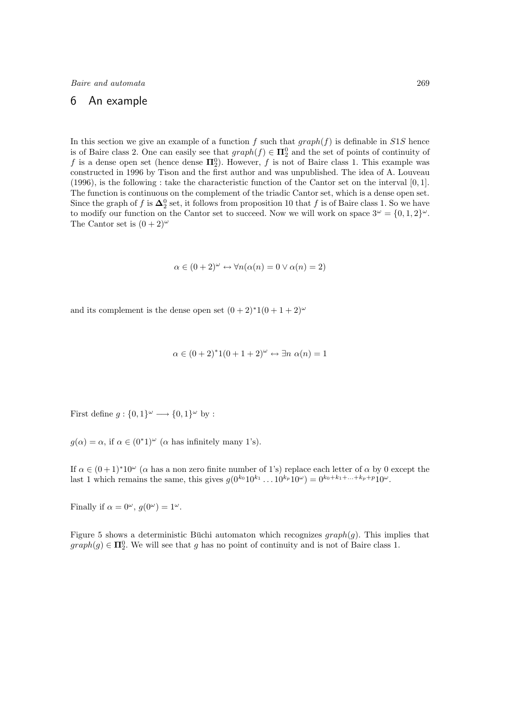## 6 An example

In this section we give an example of a function f such that  $graph(f)$  is definable in S1S hence is of Baire class 2. One can easily see that  $graph(f) \in \mathbf{\Pi}^0_2$  and the set of points of continuity of f is a dense open set (hence dense  $\Pi_2^0$ ). However, f is not of Baire class 1. This example was constructed in 1996 by Tison and the first author and was unpublished. The idea of A. Louveau (1996), is the following : take the characteristic function of the Cantor set on the interval [0, 1]. The function is continuous on the complement of the triadic Cantor set, which is a dense open set. Since the graph of f is  $\Delta_2^0$  set, it follows from proposition 10 that f is of Baire class 1. So we have to modify our function on the Cantor set to succeed. Now we will work on space  $3^{\omega} = \{0, 1, 2\}^{\omega}$ . The Cantor set is  $(0+2)^{\omega}$ 

$$
\alpha \in (0+2)^{\omega} \leftrightarrow \forall n(\alpha(n) = 0 \lor \alpha(n) = 2)
$$

and its complement is the dense open set  $(0+2)^*1(0+1+2)^{\omega}$ 

$$
\alpha \in (0+2)^*1(0+1+2)^{\omega} \leftrightarrow \exists n \alpha(n) = 1
$$

First define  $g: \{0,1\}^\omega \longrightarrow \{0,1\}^\omega$  by :

 $g(\alpha) = \alpha$ , if  $\alpha \in (0^*1)^\omega$  ( $\alpha$  has infinitely many 1's).

If  $\alpha \in (0+1)^*10^\omega$  ( $\alpha$  has a non zero finite number of 1's) replace each letter of  $\alpha$  by 0 except the last 1 which remains the same, this gives  $g(0^{k_0}10^{k_1}\dots 10^{k_p}10^{\omega}) = 0^{k_0+k_1+\dots+k_p+p}10^{\omega}$ .

Finally if  $\alpha = 0^{\omega}$ ,  $g(0^{\omega}) = 1^{\omega}$ .

Figure 5 shows a deterministic Buchi automaton which recognizes  $graph(q)$ . This implies that  $graph(g) \in \mathbf{\Pi}^0_2$ . We will see that g has no point of continuity and is not of Baire class 1.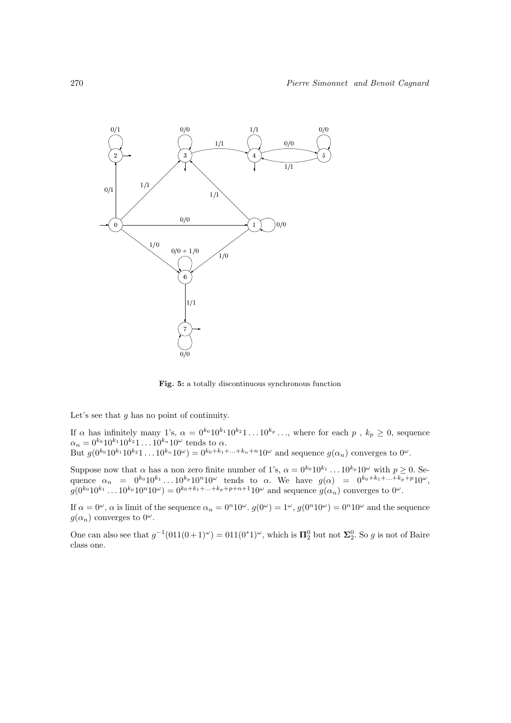

Fig. 5: a totally discontinuous synchronous function

Let's see that  $g$  has no point of continuity.

If  $\alpha$  has infinitely many 1's,  $\alpha = 0^{k_0} 10^{k_1} 10^{k_2} 1 \ldots 10^{k_p} \ldots$ , where for each  $p$ ,  $k_p \ge 0$ , sequence  $\alpha_n = 0^{k_0} 10^{k_1} 10^{k_2} 1 \dots 10^{k_n} 10^{\omega}$  tends to  $\alpha$ . But  $g(0^{k_0}10^{k_1}10^{k_2}1...10^{k_n}10^{\omega}) = 0^{k_0+k_1+...+k_n+n}10^{\omega}$  and sequence  $g(\alpha_n)$  converges to  $0^{\omega}$ .

Suppose now that  $\alpha$  has a non zero finite number of 1's,  $\alpha = 0^{k_0} 10^{k_1} \dots 10^{k_p} 10^\omega$  with  $p \ge 0$ . Sequence  $\alpha_n = 0^{k_0} 10^{k_1} \dots 10^{k_p} 10^n 10^\omega$  tends to  $\alpha$ . We have  $g(\alpha) = 0^{k_0 + k_1 + \dots + k_p + p} 10^\omega$ ,  $g(0^{k_0}10^{k_1} \dots 10^{k_p}10^n10^{\omega}) = 0^{k_0 + k_1 + \dots + k_p + p + n + 1}10^{\omega}$  and sequence  $g(\alpha_n)$  converges to  $0^{\omega}$ .

If  $\alpha = 0^{\omega}$ ,  $\alpha$  is limit of the sequence  $\alpha_n = 0^n 10^{\omega}$ .  $g(0^{\omega}) = 1^{\omega}$ ,  $g(0^n 10^{\omega}) = 0^n 10^{\omega}$  and the sequence  $g(\alpha_n)$  converges to  $0^{\omega}$ .

One can also see that  $g^{-1}(011(0+1)^\omega) = 011(0^*1)^\omega$ , which is  $\mathbf{\Pi}_2^0$  but not  $\mathbf{\Sigma}_2^0$ . So g is not of Baire class one.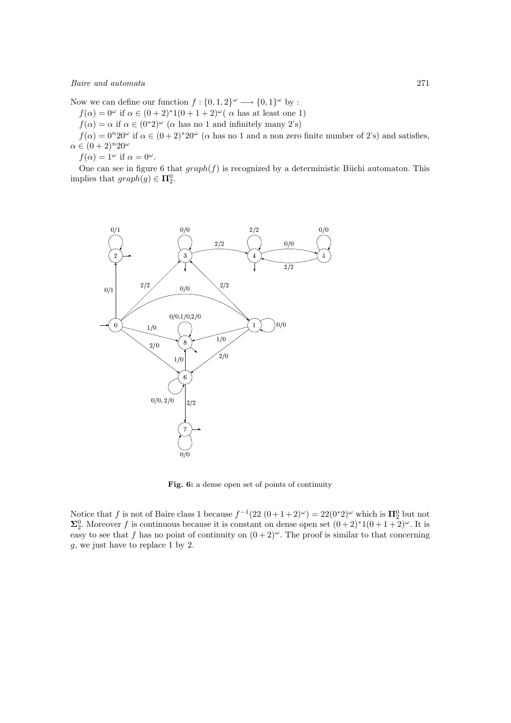Now we can define our function  $f: \{0, 1, 2\}^\omega \longrightarrow \{0, 1\}^\omega$  by :

- $f(\alpha) = 0^{\omega}$  if  $\alpha \in (0+2)^*1(0+1+2)^{\omega}$  (  $\alpha$  has at least one 1)
- $f(\alpha) = \alpha$  if  $\alpha \in (0^*2)^{\omega}$  ( $\alpha$  has no 1 and infinitely many 2's)

 $f(\alpha) = 0^{n}20^{\omega}$  if  $\alpha \in (0+2)^{*}20^{\omega}$  ( $\alpha$  has no 1 and a non zero finite number of 2's) and satisfies,  $\alpha \in (0+2)^n 20^\omega$ 

 $f(\alpha) = 1^{\omega}$  if  $\alpha = 0^{\omega}$ .

One can see in figure 6 that  $graph(f)$  is recognized by a deterministic Büchi automaton. This implies that  $graph(g) \in \mathbf{\Pi}^0_2$ .



Fig. 6: a dense open set of points of continuity

Notice that f is not of Baire class 1 because  $f^{-1}(22(0+1+2)u) = 22(0^*)u$  which is  $\mathbf{\Pi}_2^0$  but not  $\Sigma^0_2$ . Moreover f is continuous because it is constant on dense open set  $(0+2)^*1(0+1+2)^\omega$ . It is easy to see that f has no point of continuity on  $(0+2)^{\omega}$ . The proof is similar to that concerning g, we just have to replace 1 by 2.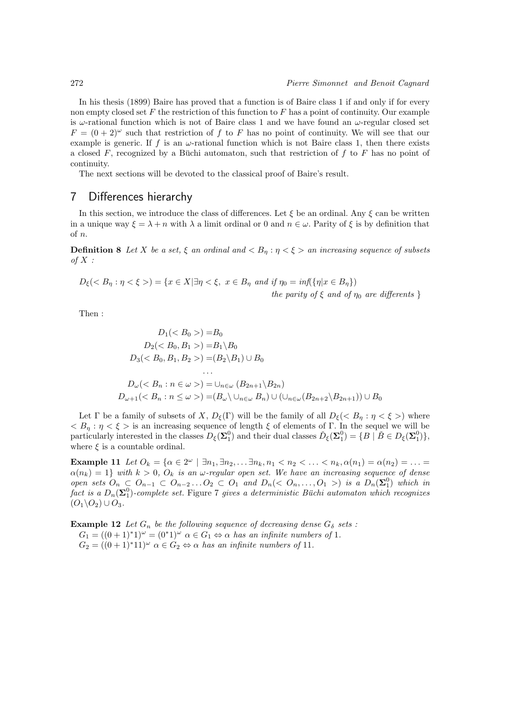In his thesis (1899) Baire has proved that a function is of Baire class 1 if and only if for every non empty closed set  $F$  the restriction of this function to  $F$  has a point of continuity. Our example is  $\omega$ -rational function which is not of Baire class 1 and we have found an  $\omega$ -regular closed set  $F = (0 + 2)^{\omega}$  such that restriction of f to F has no point of continuity. We will see that our example is generic. If f is an  $\omega$ -rational function which is not Baire class 1, then there exists a closed F, recognized by a Büchi automaton, such that restriction of f to F has no point of continuity.

The next sections will be devoted to the classical proof of Baire's result.

## 7 Differences hierarchy

In this section, we introduce the class of differences. Let  $\xi$  be an ordinal. Any  $\xi$  can be written in a unique way  $\xi = \lambda + n$  with  $\lambda$  a limit ordinal or 0 and  $n \in \omega$ . Parity of  $\xi$  is by definition that of n.

**Definition 8** Let X be a set,  $\xi$  an ordinal and  $\langle B_n : \eta \rangle \langle \xi \rangle$  an increasing sequence of subsets of  $X$  :

$$
D_{\xi}(\langle B_{\eta} : \eta \langle \xi \rangle) = \{x \in X | \exists \eta \langle \xi, x \in B_{\eta} \text{ and if } \eta_0 = \inf(\{\eta | x \in B_{\eta}\})
$$
  
the parity of  $\xi$  and of  $\eta_0$  are differents  $\}$ 

Then :

$$
D_1() = B_0
$$
  
\n
$$
D_2() = B_1 \setminus B_0
$$
  
\n
$$
D_3() = (B_2 \setminus B_1) \cup B_0
$$
  
\n...  
\n
$$
D_\omega() = \cup_{n \in \omega} (B_{2n+1} \setminus B_{2n})
$$
  
\n
$$
D_{\omega+1}() = (B_\omega \setminus \cup_{n \in \omega} B_n) \cup (\cup_{n \in \omega} (B_{2n+2} \setminus B_{2n+1})) \cup B_0
$$

Let  $\Gamma$  be a family of subsets of X,  $D_{\xi}(\Gamma)$  will be the family of all  $D_{\xi}(\langle B_n : \eta \langle \xi \rangle)$  where  $\langle B_\eta : \eta \langle \xi \rangle$  is an increasing sequence of length  $\xi$  of elements of Γ. In the sequel we will be particularly interested in the classes  $D_{\xi}(\Sigma_1^0)$  and their dual classes  $\check{D}_{\xi}(\Sigma_1^0) = \{B \mid \check{B} \in D_{\xi}(\Sigma_1^0)\},$ where  $\xi$  is a countable ordinal.

Example 11 Let  $O_k = \{ \alpha \in 2^{\omega} \mid \exists n_1, \exists n_2, \dots \exists n_k, n_1 < n_2 < \dots < n_k, \alpha(n_1) = \alpha(n_2) = \dots =$  $\alpha(n_k) = 1$  with  $k > 0$ ,  $O_k$  is an  $\omega$ -regular open set. We have an increasing sequence of dense open sets  $O_n \subsetneq O_{n-1} \subset O_{n-2} \ldots O_2 \subset O_1$  and  $D_n( $O_n, \ldots, O_1 >$  is a  $D_n(\Sigma_1^0)$  which in$ fact is a  $D_n(\boldsymbol{\Sigma}^0_1)$ -complete set. Figure 7 gives a deterministic Büchi automaton which recognizes  $(O_1\backslash O_2)\cup O_3.$ 

**Example 12** Let  $G_n$  be the following sequence of decreasing dense  $G_\delta$  sets :  $G_1 = ((0+1)^*1)^{\omega} = (0^*1)^{\omega} \alpha \in G_1 \Leftrightarrow \alpha \text{ has an infinite numbers of } 1.$  $G_2 = ((0+1)^*11)^\omega \ \alpha \in G_2 \Leftrightarrow \alpha \ has \ an \ infinite \ numbers \ of \ 11.$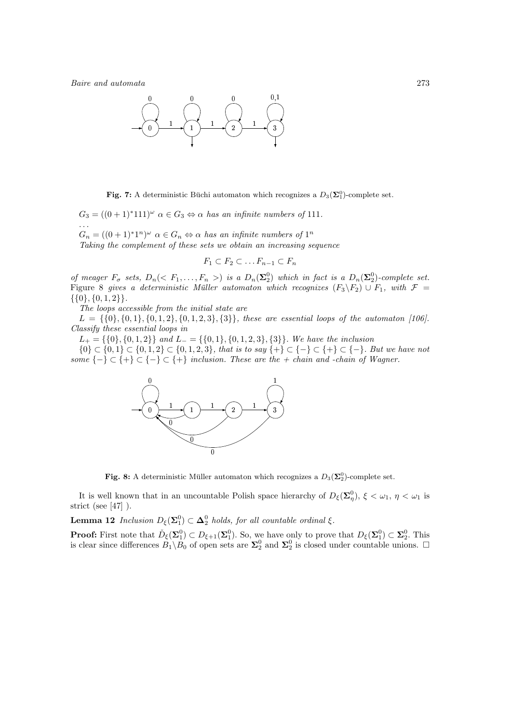

Fig. 7: A deterministic Büchi automaton which recognizes a  $D_3(\Sigma_1^0)$ -complete set.

 $G_3 = ((0+1)^*111)^\omega \ \alpha \in G_3 \Leftrightarrow \alpha \ has \ an \ infinite \ numbers \ of \ 111.$ . . .  $G_n = ((0+1)^*1^n)^\omega \ \alpha \in G_n \Leftrightarrow \alpha \text{ has an infinite numbers of } 1^n$ 

Taking the complement of these sets we obtain an increasing sequence

$$
F_1 \subset F_2 \subset \dots F_{n-1} \subset F_n
$$

of meager  $F_{\sigma}$  sets,  $D_n(< F_1, \ldots, F_n>)$  is a  $D_n(\Sigma_2^0)$  which in fact is a  $D_n(\Sigma_2^0)$ -complete set. Figure 8 gives a deterministic Müller automaton which recognizes  $(F_3\F_2) \cup F_1$ , with  $\mathcal{F} =$  $\{\{0\}, \{0, 1, 2\}\}.$ 

The loops accessible from the initial state are

 $L = \{\{0\}, \{0, 1\}, \{0, 1, 2\}, \{0, 1, 2, 3\}, \{3\}\}\$ , these are essential loops of the automaton [106]. Classify these essential loops in

 $L_{+} = \{\{0\}, \{0, 1, 2\}\}\$  and  $L_{-} = \{\{0, 1\}, \{0, 1, 2, 3\}, \{3\}\}\$ . We have the inclusion

{0} ⊂ {0,1} ⊂ {0,1,2} ⊂ {0,1,2,3}, that is to say {+} ⊂ {-} ⊂ {+} ⊂ {-}. But we have not some  $\{-\} \subset \{+\} \subset \{-\}$   $\subset \{+\}$  inclusion. These are the + chain and -chain of Wagner.



Fig. 8: A deterministic Müller automaton which recognizes a  $D_3(\Sigma_2^0)$ -complete set.

It is well known that in an uncountable Polish space hierarchy of  $D_{\xi}(\Sigma_{\eta}^{0}), \xi < \omega_1, \eta < \omega_1$  is strict (see [47] ).

**Lemma 12** Inclusion  $D_{\xi}(\Sigma_1^0) \subset \Delta_2^0$  holds, for all countable ordinal  $\xi$ .

**Proof:** First note that  $\check{D}_{\xi}(\Sigma_1^0) \subset D_{\xi+1}(\Sigma_1^0)$ . So, we have only to prove that  $D_{\xi}(\Sigma_1^0) \subset \Sigma_2^0$ . This is clear since differences  $B_1 \backslash B_0$  of open sets are  $\Sigma_2^0$  and  $\Sigma_2^0$  is closed under countable unions.  $\Box$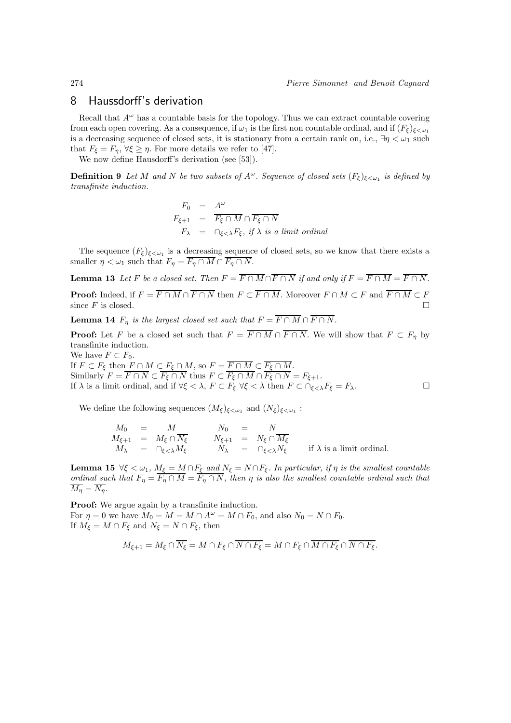## 8 Haussdorff's derivation

Recall that  $A^{\omega}$  has a countable basis for the topology. Thus we can extract countable covering from each open covering. As a consequence, if  $\omega_1$  is the first non countable ordinal, and if  $(F_{\xi})_{\xi \leq \omega_1}$ is a decreasing sequence of closed sets, it is stationary from a certain rank on, i.e.,  $\exists \eta < \omega_1$  such that  $F_{\xi} = F_{\eta}, \forall \xi \geq \eta$ . For more details we refer to [47].

We now define Hausdorff's derivation (see [53]).

**Definition 9** Let M and N be two subsets of  $A^{\omega}$ . Sequence of closed sets  $(F_{\xi})_{\xi < \omega_1}$  is defined by transfinite induction.

$$
F_0 = A^{\omega}
$$
  
\n
$$
F_{\xi+1} = \overline{F_{\xi} \cap M} \cap \overline{F_{\xi} \cap N}
$$
  
\n
$$
F_{\lambda} = \cap_{\xi < \lambda} F_{\xi}, \text{ if } \lambda \text{ is a limit ordinal}
$$

The sequence  $(F_{\xi})_{\xi<\omega_1}$  is a decreasing sequence of closed sets, so we know that there exists a smaller  $\eta < \omega_1$  such that  $F_\eta = \overline{F_\eta \cap M} \cap \overline{F_\eta \cap N}$ .

**Lemma 13** Let F be a closed set. Then  $F = \overline{F \cap M} \cap \overline{F \cap N}$  if and only if  $F = \overline{F \cap M} = \overline{F \cap N}$ . **Proof:** Indeed, if  $F = \overline{F \cap M} \cap \overline{F \cap N}$  then  $F \subset \overline{F \cap M}$ . Moreover  $F \cap M \subset F$  and  $\overline{F \cap M} \subset F$ since  $F$  is closed.

**Lemma 14**  $F_n$  is the largest closed set such that  $F = \overline{F \cap M} \cap \overline{F \cap N}$ .

**Proof:** Let F be a closed set such that  $F = \overline{F \cap M} \cap \overline{F \cap N}$ . We will show that  $F \subset F_n$  by transfinite induction.

We have  $F \subset F_0$ .

If  $F \subset F_{\xi}$  then  $F \cap M \subset F_{\xi} \cap M$ , so  $F = F \cap M \subset F_{\xi} \cap M$ . Similarly  $F = F \cap N \subset F_{\xi} \cap N$  thus  $F \subset F_{\xi} \cap M \cap F_{\xi} \cap N = F_{\xi+1}$ . If  $\lambda$  is a limit ordinal, and if  $\forall \xi < \lambda$ ,  $F \subset F_{\xi} \ \forall \xi < \lambda$  then  $F \subset \bigcap_{\xi < \lambda} F_{\xi} = F_{\lambda}$ .

We define the following sequences  $(M_{\xi})_{\xi \langle \omega_1}$  and  $(N_{\xi})_{\xi \langle \omega_1}$ :

$$
M_0 = M
$$
  
\n
$$
M_{\xi+1} = M_{\xi} \cap \overline{N_{\xi}}
$$
  
\n
$$
M_{\xi+1} = N_{\xi} \cap \overline{N_{\xi}}
$$
  
\n
$$
N_{\xi+1} = N_{\xi} \cap \overline{M_{\xi}}
$$
  
\n
$$
N_{\lambda} = \cap_{\xi < \lambda} M_{\xi}
$$
  
\nif  $\lambda$  is a limit ordinal.

**Lemma 15**  $\forall \xi < \omega_1$ ,  $M_{\xi} = M \cap F_{\xi}$  and  $N_{\xi} = N \cap F_{\xi}$ . In particular, if  $\eta$  is the smallest countable ordinal such that  $F_{\eta} = F_{\eta} \cap M = F_{\eta} \cap N$ , then  $\eta$  is also the smallest countable ordinal such that  $\overline{M_n} = \overline{N_n}.$ 

Proof: We argue again by a transfinite induction. For  $\eta = 0$  we have  $M_0 = M = M \cap A^{\omega} = M \cap F_0$ , and also  $N_0 = N \cap F_0$ . If  $M_{\xi} = M \cap F_{\xi}$  and  $N_{\xi} = N \cap F_{\xi}$ , then

$$
M_{\xi+1} = M_{\xi} \cap \overline{N_{\xi}} = M \cap F_{\xi} \cap \overline{N \cap F_{\xi}} = M \cap F_{\xi} \cap \overline{M \cap F_{\xi}} \cap \overline{N \cap F_{\xi}}.
$$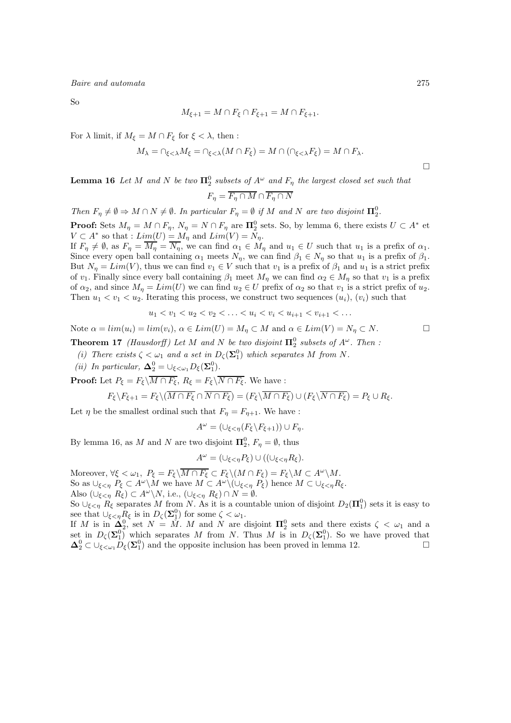So

$$
M_{\xi+1} = M \cap F_{\xi} \cap F_{\xi+1} = M \cap F_{\xi+1}.
$$

For  $\lambda$  limit, if  $M_{\xi} = M \cap F_{\xi}$  for  $\xi < \lambda$ , then :

$$
M_{\lambda} = \bigcap_{\xi < \lambda} M_{\xi} = \bigcap_{\xi < \lambda} (M \cap F_{\xi}) = M \cap (\bigcap_{\xi < \lambda} F_{\xi}) = M \cap F_{\lambda}.
$$

 $\Box$ 

**Lemma 16** Let M and N be two  $\Pi_2^0$  subsets of  $A^{\omega}$  and  $F_{\eta}$  the largest closed set such that

$$
F_{\eta} = \overline{F_{\eta} \cap M} \cap \overline{F_{\eta} \cap N}
$$

Then  $F_{\eta} \neq \emptyset \Rightarrow M \cap N \neq \emptyset$ . In particular  $F_{\eta} = \emptyset$  if M and N are two disjoint  $\mathbf{\Pi}^0_2$ .

**Proof:** Sets  $M_{\eta} = M \cap F_{\eta}$ ,  $N_{\eta} = N \cap F_{\eta}$  are  $\mathbf{\Pi}_{2}^{0}$  sets. So, by lemma 6, there exists  $U \subset A^*$  et  $V \subset A^*$  so that :  $Lim(U) = M_{\eta}$  and  $Lim(V) = N_{\eta}$ .

If  $F_\eta \neq \emptyset$ , as  $F_\eta = M_\eta = N_\eta$ , we can find  $\alpha_1 \in M_\eta$  and  $u_1 \in U$  such that  $u_1$  is a prefix of  $\alpha_1$ . Since every open ball containing  $\alpha_1$  meets  $N_\eta$ , we can find  $\beta_1 \in N_\eta$  so that  $u_1$  is a prefix of  $\beta_1$ . But  $N_n = Lim(V)$ , thus we can find  $v_1 \in V$  such that  $v_1$  is a prefix of  $\beta_1$  and  $u_1$  is a strict prefix of  $v_1$ . Finally since every ball containing  $\beta_1$  meet  $M_\eta$  we can find  $\alpha_2 \in M_\eta$  so that  $v_1$  is a prefix of  $\alpha_2$ , and since  $M_{\eta} = Lim(U)$  we can find  $u_2 \in U$  prefix of  $\alpha_2$  so that  $v_1$  is a strict prefix of  $u_2$ . Then  $u_1 < v_1 < u_2$ . Iterating this process, we construct two sequences  $(u_i)$ ,  $(v_i)$  such that

$$
u_1 < v_1 < u_2 < v_2 < \ldots < u_i < v_i < u_{i+1} < v_{i+1} < \ldots
$$

Note  $\alpha = \lim(u_i) = \lim(v_i)$ ,  $\alpha \in \text{Lim}(U) = M_n \subset M$  and  $\alpha \in \text{Lim}(V) = N_n \subset N$ .

**Theorem 17** (Hausdorff) Let M and N be two disjoint  $\Pi_2^0$  subsets of  $A^{\omega}$ . Then :

- (i) There exists  $\zeta < \omega_1$  and a set in  $D_{\zeta}(\Sigma_1^0)$  which separates M from N.
- (*ii*) In particular,  $\Delta_2^0 = \bigcup_{\xi < \omega_1} D_{\xi}(\Sigma_1^0)$ .

**Proof:** Let  $P_{\xi} = F_{\xi} \setminus \overline{M \cap F_{\xi}}$ ,  $R_{\xi} = F_{\xi} \setminus \overline{N \cap F_{\xi}}$ . We have :

$$
F_{\xi}\backslash F_{\xi+1} = F_{\xi}\backslash (\overline{M \cap F_{\xi}} \cap \overline{N \cap F_{\xi}}) = (F_{\xi}\backslash \overline{M \cap F_{\xi}}) \cup (F_{\xi}\backslash \overline{N \cap F_{\xi}}) = P_{\xi} \cup R_{\xi}.
$$

Let  $\eta$  be the smallest ordinal such that  $F_{\eta} = F_{\eta+1}$ . We have :

$$
A^{\omega} = (\cup_{\xi < \eta} (F_{\xi} \backslash F_{\xi+1})) \cup F_{\eta}.
$$

By lemma 16, as M and N are two disjoint  $\mathbf{\Pi}_2^0$ ,  $F_\eta = \emptyset$ , thus

$$
A^{\omega} = (\cup_{\xi < \eta} P_{\xi}) \cup ((\cup_{\xi < \eta} R_{\xi}).
$$

Moreover,  $\forall \xi < \omega_1, P_{\xi} = F_{\xi} \setminus \overline{M \cap F_{\xi}} \subset F_{\xi} \setminus (M \cap F_{\xi}) = F_{\xi} \setminus M \subset A^{\omega} \setminus M$ . So as  $\bigcup_{\xi \leq \eta} P_{\xi} \subset A^{\omega} \backslash M$  we have  $M \subset A^{\omega} \backslash (\bigcup_{\xi \leq \eta} P_{\xi})$  hence  $M \subset \bigcup_{\xi \leq \eta} R_{\xi}$ . Also  $(\cup_{\xi \leq \eta} R_{\xi}) \subset A^{\omega} \backslash N$ , i.e.,  $(\cup_{\xi \leq \eta} R_{\xi}) \cap N = \emptyset$ .

So  $\cup_{\xi \leq \eta} R_{\xi}$  separates M from N. As it is a countable union of disjoint  $D_2(\Pi_1^0)$  sets it is easy to see that  $\cup_{\xi \leq \eta} R_{\xi}$  is in  $D_{\zeta}(\Sigma_1^0)$  for some  $\zeta < \omega_1$ .

If M is in  $\Delta_2^0$ , set  $N = \tilde{M}$ . M and N are disjoint  $\Pi_2^0$  sets and there exists  $\zeta < \omega_1$  and a set in  $D_{\zeta}(\Sigma_1^0)$  which separates M from N. Thus M is in  $D_{\zeta}(\Sigma_1^0)$ . So we have proved that  $\Delta_2^0 \subset \bigcup_{\xi < \omega_1} D_{\xi}(\Sigma_1^0)$  and the opposite inclusion has been proved in lemma 12.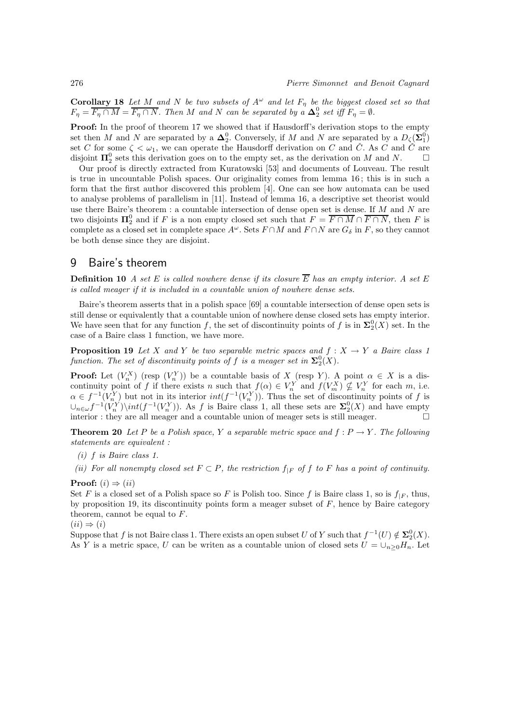**Corollary 18** Let M and N be two subsets of  $A^{\omega}$  and let  $F_{\eta}$  be the biggest closed set so that  $F_{\eta} = \overline{F_{\eta} \cap M} = \overline{F_{\eta} \cap N}$ . Then M and N can be separated by a  $\Delta_2^0$  set iff  $F_{\eta} = \emptyset$ .

**Proof:** In the proof of theorem 17 we showed that if Hausdorff's derivation stops to the empty set then M and N are separated by a  $\Delta_2^0$ . Conversely, if M and N are separated by a  $D_{\zeta}(\Sigma_1^0)$ set C for some  $\zeta < \omega_1$ , we can operate the Hausdorff derivation on C and C. As C and C are disjoint  $\Pi_2^0$  sets this derivation goes on to the empty set, as the derivation on M and N.  $\Box$ 

Our proof is directly extracted from Kuratowski [53] and documents of Louveau. The result is true in uncountable Polish spaces. Our originality comes from lemma 16 ; this is in such a form that the first author discovered this problem [4]. One can see how automata can be used to analyse problems of parallelism in [11]. Instead of lemma 16, a descriptive set theorist would use there Baire's theorem : a countable intersection of dense open set is dense. If M and N are two disjoints  $\Pi_2^0$  and if F is a non empty closed set such that  $F = \overline{F \cap M} \cap \overline{F \cap N}$ , then F is complete as a closed set in complete space  $A^{\omega}$ . Sets  $F \cap M$  and  $F \cap N$  are  $G_{\delta}$  in F, so they cannot be both dense since they are disjoint.

## 9 Baire's theorem

**Definition 10** A set E is called nowhere dense if its closure  $\overline{E}$  has an empty interior. A set E is called meager if it is included in a countable union of nowhere dense sets.

Baire's theorem asserts that in a polish space [69] a countable intersection of dense open sets is still dense or equivalently that a countable union of nowhere dense closed sets has empty interior. We have seen that for any function f, the set of discontinuity points of f is in  $\Sigma^0_2(X)$  set. In the case of a Baire class 1 function, we have more.

**Proposition 19** Let X and Y be two separable metric spaces and  $f : X \to Y$  a Baire class 1 function. The set of discontinuity points of f is a meager set in  $\mathbf{\Sigma}^0_2(X)$ .

**Proof:** Let  $(V_n^X)$  (resp  $(V_n^Y)$ ) be a countable basis of X (resp Y). A point  $\alpha \in X$  is a discontinuity point of f if there exists n such that  $f(\alpha) \in V_n^Y$  and  $f(V_m^X) \nsubseteq V_n^Y$  for each m, i.e.  $\alpha \in f^{-1}(V^Y_{n})$  but not in its interior  $int(f^{-1}(V^Y_n))$ . Thus the set of discontinuity points of f is  $\cup_{n\in\omega}$   $f^{-1}(V_n^Y)\setminus int(f^{-1}(V_n^Y))$ . As f is Baire class 1, all these sets are  $\Sigma_2^0(X)$  and have empty interior : they are all meager and a countable union of meager sets is still meager.

**Theorem 20** Let P be a Polish space, Y a separable metric space and  $f : P \to Y$ . The following statements are equivalent :

- (i) f is Baire class 1.
- (ii) For all nonempty closed set  $F \subset P$ , the restriction  $f_{|F}$  of f to F has a point of continuity.

**Proof:**  $(i) \Rightarrow (ii)$ 

Set F is a closed set of a Polish space so F is Polish too. Since f is Baire class 1, so is  $f_{|F}$ , thus, by proposition 19, its discontinuity points form a meager subset of  $F$ , hence by Baire category theorem, cannot be equal to F.

$$
(ii) \Rightarrow (i)
$$

Suppose that f is not Baire class 1. There exists an open subset U of Y such that  $f^{-1}(U) \notin \Sigma^0_2(X)$ . As Y is a metric space, U can be writen as a countable union of closed sets  $U = \bigcup_{n>0} H_n$ . Let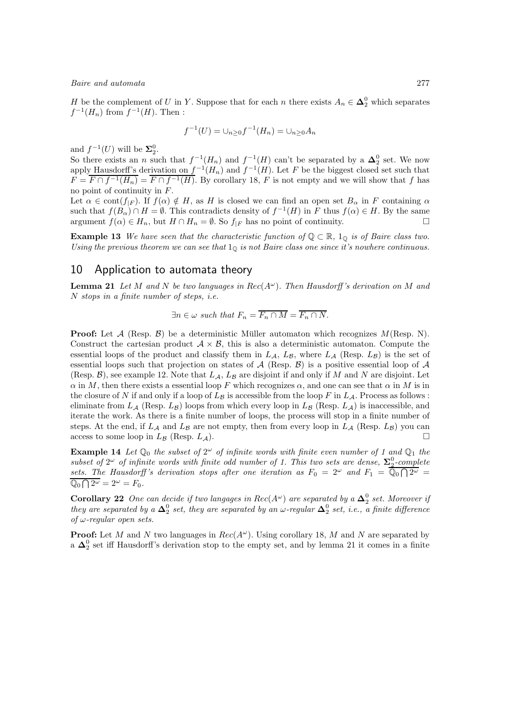H be the complement of U in Y. Suppose that for each n there exists  $A_n \in \mathbb{A}_2^0$  which separates  $f^{-1}(H_n)$  from  $f^{-1}(H)$ . Then :

$$
f^{-1}(U) = \cup_{n \ge 0} f^{-1}(H_n) = \cup_{n \ge 0} A_n
$$

and  $f^{-1}(U)$  will be  $\Sigma_2^0$ .

So there exists an n such that  $f^{-1}(H_n)$  and  $f^{-1}(H)$  can't be separated by a  $\Delta_2^0$  set. We now so there exists an *n* such that  $f^{-1}(H_n)$  and  $f^{-1}(H)$  can t be separated by a  $\Delta_2$  set. We now apply Hausdorff's derivation on  $f^{-1}(H_n)$  and  $f^{-1}(H)$ . Let F be the biggest closed set such that  $F = \overline{F \cap f^{-1}(H_n)} = \overline{F \cap f^{-1}(H)}$ . By corollary 18, F is not empty and we will show that f has no point of continuity in F.

Let  $\alpha \in \text{cont}(f_{|F})$ . If  $f(\alpha) \notin H$ , as H is closed we can find an open set  $B_{\alpha}$  in F containing  $\alpha$ such that  $f(B_\alpha) \cap H = \emptyset$ . This contradicts density of  $f^{-1}(H)$  in F thus  $f(\alpha) \in H$ . By the same argument  $f(\alpha) \in H_n$ , but  $H \cap H_n = \emptyset$ . So  $f_{|F}$  has no point of continuity.

**Example 13** We have seen that the characteristic function of  $\mathbb{Q} \subset \mathbb{R}$ ,  $1_{\mathbb{Q}}$  is of Baire class two. Using the previous theorem we can see that  $1<sub>Q</sub>$  is not Baire class one since it's nowhere continuous.

## 10 Application to automata theory

**Lemma 21** Let M and N be two languages in Rec( $A^{\omega}$ ). Then Hausdorff's derivation on M and N stops in a finite number of steps, i.e.

$$
\exists n \in \omega \ such \ that \ F_n = \overline{F_n \cap M} = \overline{F_n \cap N}.
$$

**Proof:** Let  $\mathcal{A}$  (Resp.  $\mathcal{B}$ ) be a deterministic Müller automaton which recognizes  $M(\text{Resp. } N)$ . Construct the cartesian product  $A \times B$ , this is also a deterministic automaton. Compute the essential loops of the product and classify them in  $L_A$ ,  $L_B$ , where  $L_A$  (Resp.  $L_B$ ) is the set of essential loops such that projection on states of  $A$  (Resp.  $B$ ) is a positive essential loop of  $A$ (Resp.  $\mathcal{B}$ ), see example 12. Note that  $L_A$ ,  $L_B$  are disjoint if and only if M and N are disjoint. Let  $\alpha$  in M, then there exists a essential loop F which recognizes  $\alpha$ , and one can see that  $\alpha$  in M is in the closure of N if and only if a loop of  $L_B$  is accessible from the loop F in  $L_A$ . Process as follows : eliminate from  $L_A$  (Resp.  $L_B$ ) loops from which every loop in  $L_B$  (Resp.  $L_A$ ) is inaccessible, and iterate the work. As there is a finite number of loops, the process will stop in a finite number of steps. At the end, if  $L_A$  and  $L_B$  are not empty, then from every loop in  $L_A$  (Resp.  $L_B$ ) you can access to some loop in  $L_B$  (Resp.  $L_A$ ).

**Example 14** Let  $\mathbb{Q}_0$  the subset of  $2^{\omega}$  of infinite words with finite even number of 1 and  $\mathbb{Q}_1$  the subset of  $2^{\omega}$  of infinite words with finite odd number of 1. This two sets are dense,  $\Sigma_2^0$ -complete sets. The Hausdorff's derivation stops after one iteration as  $F_0 = 2^{\omega}$  and  $F_1 = \overline{\mathbb{Q}_0 \cap 2^{\omega}}$  $\overline{\mathbb{Q}_0 \cap 2^{\omega}} = 2^{\omega} = F_0.$ 

**Corollary 22** One can decide if two langages in  $Rec(A^{\omega})$  are separated by a  $\Delta_2^0$  set. Moreover if they are separated by a  $\Delta_2^0$  set, they are separated by an  $\omega$ -regular  $\Delta_2^0$  set, i.e., a finite difference of  $\omega$ -regular open sets.

**Proof:** Let M and N two languages in  $Rec(A^{\omega})$ . Using corollary 18, M and N are separated by a  $\Delta_2^0$  set iff Hausdorff's derivation stop to the empty set, and by lemma 21 it comes in a finite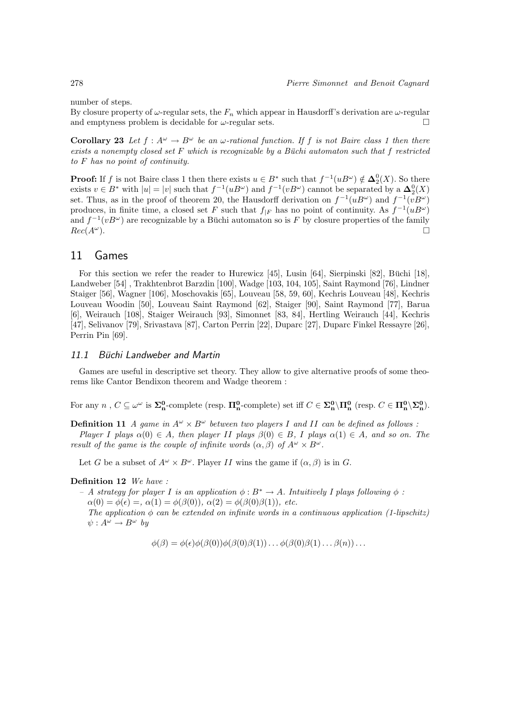number of steps.

By closure property of  $\omega$ -regular sets, the  $F_n$  which appear in Hausdorff's derivation are  $\omega$ -regular and emptyness problem is decidable for  $\omega$ -regular sets.

Corollary 23 Let  $f: A^{\omega} \to B^{\omega}$  be an  $\omega$ -rational function. If f is not Baire class 1 then there exists a nonempty closed set  $F$  which is recognizable by a Büchi automaton such that  $f$  restricted to F has no point of continuity.

**Proof:** If f is not Baire class 1 then there exists  $u \in B^*$  such that  $f^{-1}(uB^{\omega}) \notin \Delta_2^0(X)$ . So there exists  $v \in B^*$  with  $|u| = |v|$  such that  $f^{-1}(uB^{\omega})$  and  $f^{-1}(vB^{\omega})$  cannot be separated by a  $\mathbf{\Delta}_2^0(X)$ set. Thus, as in the proof of theorem 20, the Hausdorff derivation on  $f^{-1}(uB^{\omega})$  and  $f^{-1}(vB^{\omega})$ produces, in finite time, a closed set F such that  $f_{|F}$  has no point of continuity. As  $f^{-1}(uB^{\omega})$ and  $f^{-1}(vB^{\omega})$  are recognizable by a Büchi automaton so is F by closure properties of the family  $Rec(A^{\omega}).$  $\omega$ ).

## 11 Games

For this section we refer the reader to Hurewicz  $[45]$ , Lusin  $[64]$ , Sierpinski  $[82]$ , Büchi  $[18]$ , Landweber [54] , Trakhtenbrot Barzdin [100], Wadge [103, 104, 105], Saint Raymond [76], Lindner Staiger [56], Wagner [106], Moschovakis [65], Louveau [58, 59, 60], Kechris Louveau [48], Kechris Louveau Woodin [50], Louveau Saint Raymond [62], Staiger [90], Saint Raymond [77], Barua [6], Weirauch [108], Staiger Weirauch [93], Simonnet [83, 84], Hertling Weirauch [44], Kechris [47], Selivanov [79], Srivastava [87], Carton Perrin [22], Duparc [27], Duparc Finkel Ressayre [26], Perrin Pin [69].

## 11.1 Büchi Landweber and Martin

Games are useful in descriptive set theory. They allow to give alternative proofs of some theorems like Cantor Bendixon theorem and Wadge theorem :

For any  $n, C \subseteq \omega^{\omega}$  is  $\Sigma_n^0$ -complete (resp.  $\Pi_n^0$ -complete) set iff  $C \in \Sigma_n^0 \backslash \Pi_n^0$  (resp.  $C \in \Pi_n^0 \backslash \Sigma_n^0$ ).

**Definition 11** A game in  $A^{\omega} \times B^{\omega}$  between two players I and II can be defined as follows : Player I plays  $\alpha(0) \in A$ , then player II plays  $\beta(0) \in B$ , I plays  $\alpha(1) \in A$ , and so on. The result of the game is the couple of infinite words  $(\alpha, \beta)$  of  $A^{\omega} \times B^{\omega}$ .

Let G be a subset of  $A^{\omega} \times B^{\omega}$ . Player II wins the game if  $(\alpha, \beta)$  is in G.

Definition 12 We have :

– A strategy for player I is an application  $\phi : B^* \to A$ . Intuitively I plays following  $\phi$ :  $\alpha(0) = \phi(\epsilon) =, \alpha(1) = \phi(\beta(0)), \alpha(2) = \phi(\beta(0)\beta(1)),$  etc. The application  $\phi$  can be extended on infinite words in a continuous application (1-lipschitz)  $\psi: A^{\omega} \to B^{\omega}$  by

 $\phi(\beta) = \phi(\epsilon)\phi(\beta(0))\phi(\beta(0)\beta(1))\dots\phi(\beta(0)\beta(1)\dots\beta(n))\dots$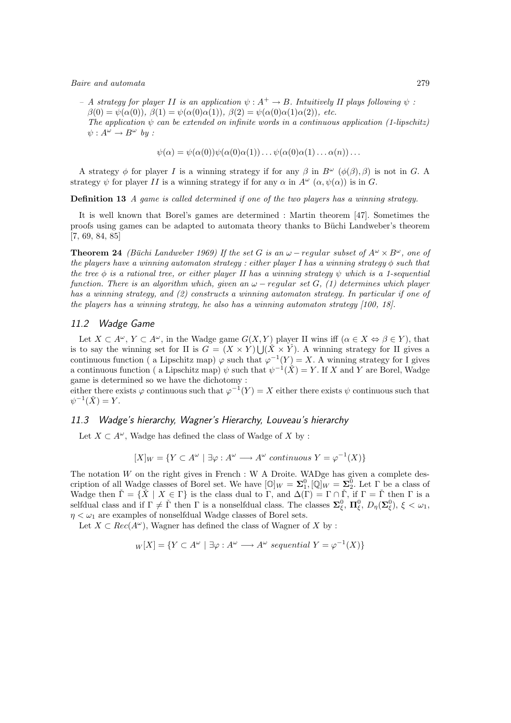– A strategy for player II is an application  $\psi : A^+ \to B$ . Intuitively II plays following  $\psi$ :  $\beta(0) = \psi(\alpha(0)), \ \beta(1) = \psi(\alpha(0)\alpha(1)), \ \beta(2) = \psi(\alpha(0)\alpha(1)\alpha(2)), \ etc.$ 

The application  $\psi$  can be extended on infinite words in a continuous application (1-lipschitz)  $\psi: A^{\omega} \to B^{\omega}$  by :

$$
\psi(\alpha) = \psi(\alpha(0))\psi(\alpha(0)\alpha(1))\dots\psi(\alpha(0)\alpha(1)\dots\alpha(n))\dots
$$

A strategy  $\phi$  for player I is a winning strategy if for any  $\beta$  in  $B^{\omega}$  ( $\phi(\beta), \beta$ ) is not in G. A strategy  $\psi$  for player II is a winning strategy if for any  $\alpha$  in  $A^{\omega}$   $(\alpha, \psi(\alpha))$  is in G.

Definition 13 A game is called determined if one of the two players has a winning strategy.

It is well known that Borel's games are determined : Martin theorem [47]. Sometimes the proofs using games can be adapted to automata theory thanks to Büchi Landweber's theorem [7, 69, 84, 85]

**Theorem 24** (Büchi Landweber 1969) If the set G is an  $\omega$  – regular subset of  $A^{\omega} \times B^{\omega}$ , one of the players have a winning automaton strategy : either player I has a winning strategy  $\phi$  such that the tree  $\phi$  is a rational tree, or either player II has a winning strategy  $\psi$  which is a 1-sequential function. There is an algorithm which, given an  $\omega$  – regular set G, (1) determines which player has a winning strategy, and (2) constructs a winning automaton strategy. In particular if one of the players has a winning strategy, he also has a winning automaton strategy [100, 18].

## 11.2 Wadge Game

Let  $X \subset A^{\omega}$ ,  $Y \subset A^{\omega}$ , in the Wadge game  $G(X, Y)$  player II wins iff  $(\alpha \in X \Leftrightarrow \beta \in Y)$ , that is to say the winning set for II is  $G = (X \times Y) \cup (\check{X} \times \check{Y})$ . A winning strategy for II gives a continuous function (a Lipschitz map)  $\varphi$  such that  $\varphi^{-1}(Y) = X$ . A winning strategy for I gives a continuous function (a Lipschitz map)  $\psi$  such that  $\psi^{-1}(\check{X}) = Y$ . If X and Y are Borel, Wadge game is determined so we have the dichotomy :

either there exists  $\varphi$  continuous such that  $\varphi^{-1}(Y) = X$  either there exists  $\psi$  continuous such that  $\psi^{-1}(\check{X})=Y.$ 

## 11.3 Wadge's hierarchy, Wagner's Hierarchy, Louveau's hierarchy

Let  $X \subset A^{\omega}$ , Wadge has defined the class of Wadge of X by :

 $[X]_W = \{ Y \subset A^{\omega} \mid \exists \varphi : A^{\omega} \longrightarrow A^{\omega} \text{ continuous } Y = \varphi^{-1}(X) \}$ 

The notation  $W$  on the right gives in French : W A Droite. WADge has given a complete description of all Wadge classes of Borel set. We have  $[\mathbb{O}]_W = \Sigma_1^0, [\mathbb{Q}]_W = \Sigma_2^0$ . Let  $\Gamma$  be a class of Wadge then  $\check{\Gamma} = \{ \check{X} \mid X \in \Gamma \}$  is the class dual to  $\Gamma$ , and  $\Delta(\Gamma) = \Gamma \cap \check{\Gamma}$ , if  $\Gamma = \check{\Gamma}$  then  $\Gamma$  is a selfdual class and if  $\Gamma \neq \check{\Gamma}$  then  $\Gamma$  is a nonselfdual class. The classes  $\Sigma_{\xi}^{0}$ ,  $\Pi_{\xi}^{0}$ ,  $D_{\eta}(\Sigma_{\xi}^{0})$ ,  $\xi < \omega_{1}$ ,  $\eta < \omega_1$  are examples of nonselfdual Wadge classes of Borel sets.

Let  $X \subset Rec(A^{\omega})$ , Wagner has defined the class of Wagner of X by :

$$
W[X] = \{ Y \subset A^{\omega} \mid \exists \varphi : A^{\omega} \longrightarrow A^{\omega} \text{ sequential } Y = \varphi^{-1}(X) \}
$$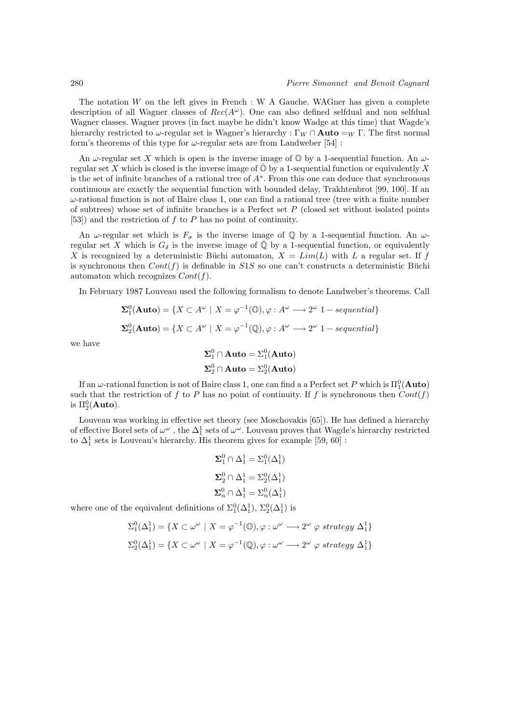The notation  $W$  on the left gives in French : W A Gauche. WAGner has given a complete description of all Wagner classes of  $Rec(A^{\omega})$ . One can also defined selfdual and non selfdual Wagner classes. Wagner proves (in fact maybe he didn't know Wadge at this time) that Wagde's hierarchy restricted to  $\omega$ -regular set is Wagner's hierarchy : Γ $_W \cap$  **Auto** = $_W \Gamma$ . The first normal form's theorems of this type for  $\omega$ -regular sets are from Landweber [54] :

An  $\omega$ -regular set X which is open is the inverse image of  $\mathbb O$  by a 1-sequential function. An  $\omega$ regular set X which is closed is the inverse image of  $\mathbb{O}$  by a 1-sequential function or equivalently X is the set of infinite branches of a rational tree of A<sup>∗</sup> . From this one can deduce that synchronous continuous are exactly the sequential function with bounded delay, Trakhtenbrot [99, 100]. If an  $\omega$ -rational function is not of Baire class 1, one can find a rational tree (tree with a finite number of subtrees) whose set of infinite branches is a Perfect set  $P$  (closed set without isolated points [53]) and the restriction of  $f$  to  $P$  has no point of continuity.

An  $\omega$ -regular set which is  $F_{\sigma}$  is the inverse image of Q by a 1-sequential function. An  $\omega$ regular set X which is  $G_{\delta}$  is the inverse image of  $\mathbb{Q}$  by a 1-sequential function, or equivalently X is recognized by a deterministic Büchi automaton,  $X = Lim(L)$  with L a regular set. If f is synchronous then  $Cont(f)$  is definable in S1S so one can't constructs a deterministic Büchi automaton which recognizes  $Cont(f)$ .

In February 1987 Louveau used the following formalism to denote Landweber's theorems. Call

$$
\Sigma_1^0(\text{Auto}) = \{ X \subset A^\omega \mid X = \varphi^{-1}(\mathbb{O}), \varphi : A^\omega \longrightarrow 2^\omega 1 - sequential \}
$$

$$
\Sigma_2^0(\text{Auto}) = \{ X \subset A^\omega \mid X = \varphi^{-1}(\mathbb{Q}), \varphi : A^\omega \longrightarrow 2^\omega 1 - sequential \}
$$

we have

$$
\Sigma_1^0 \cap \text{Auto} = \Sigma_1^0(\text{Auto})
$$

$$
\Sigma_2^0 \cap \text{Auto} = \Sigma_2^0(\text{Auto})
$$

If an  $\omega$ -rational function is not of Baire class 1, one can find a a Perfect set  $P$  which is  $\Pi^0_1(\mathbf{Auto})$ such that the restriction of f to P has no point of continuity. If f is synchronous then  $Cont(f)$ is  $\Pi^0_2(\textbf{Auto}).$ 

Louveau was working in effective set theory (see Moschovakis [65]). He has defined a hierarchy of effective Borel sets of  $\omega^{\omega}$ , the  $\Delta_1^1$  sets of  $\omega^{\omega}$ . Louveau proves that Wagde's hierarchy restricted to  $\Delta^1_1$  sets is Louveau's hierarchy. His theorem gives for example  $[59,\,60]$  :

$$
\begin{aligned} \pmb{\Sigma}_1^0 \cap \Delta_1^1 &= \Sigma_1^0(\Delta_1^1) \\ \pmb{\Sigma}_2^0 \cap \Delta_1^1 &= \Sigma_2^0(\Delta_1^1) \\ \pmb{\Sigma}_n^0 \cap \Delta_1^1 &= \Sigma_n^0(\Delta_1^1) \end{aligned}
$$

where one of the equivalent definitions of  $\Sigma_1^0(\Delta_1^1)$ ,  $\Sigma_2^0(\Delta_1^1)$  is

$$
\Sigma_1^0(\Delta_1^1) = \{ X \subset \omega^{\omega} \mid X = \varphi^{-1}(0), \varphi : \omega^{\omega} \longrightarrow 2^{\omega} \varphi \; strategy \; \Delta_1^1 \}
$$

$$
\Sigma_2^0(\Delta_1^1) = \{ X \subset \omega^{\omega} \mid X = \varphi^{-1}(\mathbb{Q}), \varphi : \omega^{\omega} \longrightarrow 2^{\omega} \varphi \; strategy \; \Delta_1^1 \}
$$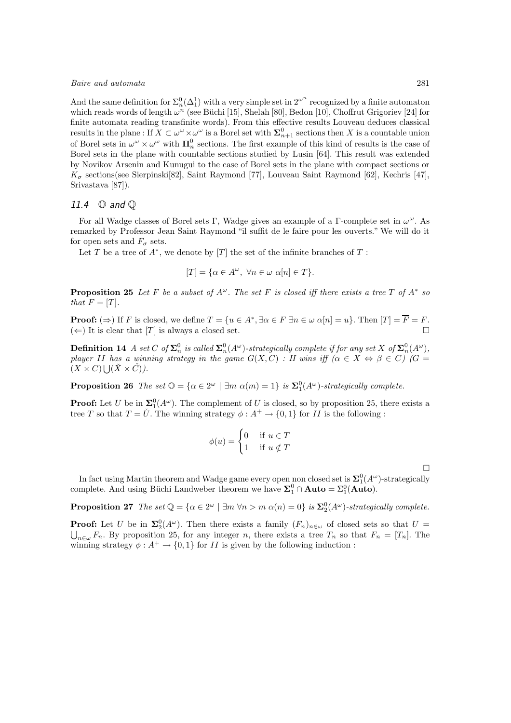And the same definition for  $\Sigma_n^0(\Delta_1^1)$  with a very simple set in  $2^{\omega^n}$  recognized by a finite automaton which reads words of length  $\omega^n$  (see Büchi [15], Shelah [80], Bedon [10], Choffrut Grigoriev [24] for finite automata reading transfinite words). From this effective results Louveau deduces classical results in the plane : If  $X \subset \omega^{\omega} \times \omega^{\omega}$  is a Borel set with  $\Sigma_{n+1}^0$  sections then X is a countable union of Borel sets in  $\omega^{\omega} \times \omega^{\omega}$  with  $\mathbf{\Pi}_{n}^{0}$  sections. The first example of this kind of results is the case of Borel sets in the plane with countable sections studied by Lusin [64]. This result was extended by Novikov Arsenin and Kunugui to the case of Borel sets in the plane with compact sections or  $K_{\sigma}$  sections(see Sierpinski[82], Saint Raymond [77], Louveau Saint Raymond [62], Kechris [47], Srivastava [87]).

#### 11.4 O and Q

For all Wadge classes of Borel sets Γ, Wadge gives an example of a Γ-complete set in  $\omega^{\omega}$ . As remarked by Professor Jean Saint Raymond "il suffit de le faire pour les ouverts." We will do it for open sets and  $F_{\sigma}$  sets.

Let T be a tree of  $A^*$ , we denote by [T] the set of the infinite branches of T :

$$
[T] = \{ \alpha \in A^{\omega}, \ \forall n \in \omega \ \alpha[n] \in T \}.
$$

**Proposition 25** Let F be a subset of  $A^{\omega}$ . The set F is closed iff there exists a tree T of  $A^*$  so that  $F = [T]$ .

**Proof:**  $(\Rightarrow)$  If F is closed, we define  $T = \{u \in A^*, \exists \alpha \in F \exists n \in \omega \alpha[n] = u\}$ . Then  $[T] = \overline{F} = F$ .  $(\Leftarrow)$  It is clear that [T] is always a closed set.

**Definition 14** A set C of  $\Sigma_n^0$  is called  $\Sigma_n^0(A^\omega)$ -strategically complete if for any set X of  $\Sigma_n^0(A^\omega)$ , player II has a winning strategy in the game  $G(X, C)$  : II wins iff  $(\alpha \in X \Leftrightarrow \beta \in C)$   $(G =$  $(X \times C) \bigcup (\check{X} \times \check{C})$ .

**Proposition 26** The set  $\mathbb{O} = {\alpha \in 2^{\omega} \mid \exists m \alpha(m) = 1}$  is  $\mathbf{\Sigma}_1^0(A^{\omega})$ -strategically complete.

**Proof:** Let U be in  $\Sigma^0_1(A^{\omega})$ . The complement of U is closed, so by proposition 25, there exists a tree T so that  $T = \check{U}$ . The winning strategy  $\phi : A^+ \to \{0,1\}$  for II is the following :

$$
\phi(u) = \begin{cases} 0 & \text{if } u \in T \\ 1 & \text{if } u \notin T \end{cases}
$$

 $\Box$ 

In fact using Martin theorem and Wadge game every open non closed set is  $\Sigma^0_1(A^\omega)$ -strategically complete. And using Büchi Landweber theorem we have  $\Sigma_1^0 \cap \text{Auto} = \Sigma_1^0(\text{Auto})$ .

**Proposition 27** The set  $\mathbb{Q} = {\alpha \in 2^{\omega} \mid \exists m \forall n > m \alpha(n) = 0}$  is  $\mathbf{\Sigma}_2^0(A^{\omega})$ -strategically complete.

**Proof:** Let U be in  $\Sigma_2^0(A^{\omega})$ . Then there exists a family  $(F_n)_{n\in\omega}$  of closed sets so that  $U =$  $\bigcup_{n\in\omega}F_n$ . By proposition 25, for any integer n, there exists a tree  $T_n$  so that  $F_n=[T_n]$ . The winning strategy  $\phi: A^+ \to \{0,1\}$  for II is given by the following induction :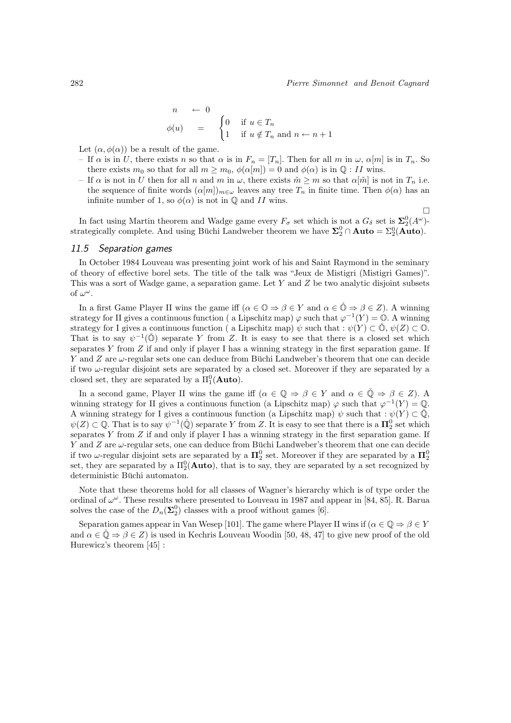$\Box$ 

$$
\begin{array}{rcl}\nn & \leftarrow & 0 \\
\phi(u) & = & \begin{cases}\n0 & \text{if } u \in T_n \\
1 & \text{if } u \notin T_n \text{ and } n \leftarrow n+1\n\end{cases}\n\end{array}
$$

Let  $(\alpha, \phi(\alpha))$  be a result of the game.

- If  $\alpha$  is in U, there exists n so that  $\alpha$  is in  $F_n = [T_n]$ . Then for all m in  $\omega$ ,  $\alpha[m]$  is in  $T_n$ . So there exists  $m_0$  so that for all  $m \geq m_0$ ,  $\phi(\alpha[m]) = 0$  and  $\phi(\alpha)$  is in  $\mathbb{Q}: H$  wins.
- If  $\alpha$  is not in U then for all n and m in  $\omega$ , there exists  $\tilde{m} \geq m$  so that  $\alpha[\tilde{m}]$  is not in  $T_n$  i.e. the sequence of finite words  $(\alpha[m])_{m\in\omega}$  leaves any tree  $T_n$  in finite time. Then  $\phi(\alpha)$  has an infinite number of 1, so  $\phi(\alpha)$  is not in  $\mathbb Q$  and II wins.

In fact using Martin theorem and Wadge game every  $F_{\sigma}$  set which is not a  $G_{\delta}$  set is  $\Sigma^0_2(A^{\omega})$ strategically complete. And using Büchi Landweber theorem we have  $\Sigma^0_2 \cap \text{Auto} = \Sigma^0_2 (\text{Auto})$ .

#### 11.5 Separation games

In October 1984 Louveau was presenting joint work of his and Saint Raymond in the seminary of theory of effective borel sets. The title of the talk was "Jeux de Mistigri (Mistigri Games)". This was a sort of Wadge game, a separation game. Let  $Y$  and  $Z$  be two analytic disjoint subsets of  $\omega^{\omega}$ .

In a first Game Player II wins the game iff  $(\alpha \in \mathbb{O} \Rightarrow \beta \in Y)$  and  $\alpha \in \mathbb{O} \Rightarrow \beta \in Z$ ). A winning strategy for II gives a continuous function (a Lipschitz map)  $\varphi$  such that  $\varphi^{-1}(Y) = \mathbb{O}$ . A winning strategy for I gives a continuous function ( a Lipschitz map)  $\psi$  such that :  $\psi(Y) \subset \mathcal{D}, \psi(Z) \subset \mathcal{D}$ . That is to say  $\psi^{-1}(\check{O})$  separate Y from Z. It is easy to see that there is a closed set which separates Y from  $Z$  if and only if player I has a winning strategy in the first separation game. If Y and Z are  $\omega$ -regular sets one can deduce from Büchi Landweber's theorem that one can decide if two  $\omega$ -regular disjoint sets are separated by a closed set. Moreover if they are separated by a closed set, they are separated by a  $\Pi_1^0(\text{Auto})$ .

In a second game, Player II wins the game iff  $(\alpha \in \mathbb{Q} \Rightarrow \beta \in Y \text{ and } \alpha \in \mathbb{Q} \Rightarrow \beta \in Z)$ . A winning strategy for II gives a continuous function (a Lipschitz map)  $\varphi$  such that  $\varphi^{-1}(Y) = \mathbb{Q}$ . A winning strategy for I gives a continuous function (a Lipschitz map)  $\psi$  such that :  $\psi(Y) \subset \mathbb{Q}$ ,  $\psi(Z) \subset \mathbb{Q}$ . That is to say  $\psi^{-1}(\check{\mathbb{Q}})$  separate Y from Z. It is easy to see that there is a  $\mathbf{\Pi}_2^0$  set which separates  $Y$  from  $Z$  if and only if player I has a winning strategy in the first separation game. If Y and Z are  $\omega$ -regular sets, one can deduce from Büchi Landweber's theorem that one can decide if two  $\omega$ -regular disjoint sets are separated by a  $\Pi_2^0$  set. Moreover if they are separated by a  $\Pi_2^0$ set, they are separated by a  $\Pi_2^0(\text{Auto})$ , that is to say, they are separated by a set recognized by deterministic Büchi automaton.

Note that these theorems hold for all classes of Wagner's hierarchy which is of type order the ordinal of  $\omega^{\omega}$ . These results where presented to Louveau in 1987 and appear in [84, 85]. R. Barua solves the case of the  $D_n(\Sigma_2^0)$  classes with a proof without games [6].

Separation games appear in Van Wesep [101]. The game where Player II wins if  $(\alpha \in \mathbb{Q} \Rightarrow \beta \in Y)$ and  $\alpha \in \mathbb{Q} \Rightarrow \beta \in \mathbb{Z}$  is used in Kechris Louveau Woodin [50, 48, 47] to give new proof of the old Hurewicz's theorem [45] :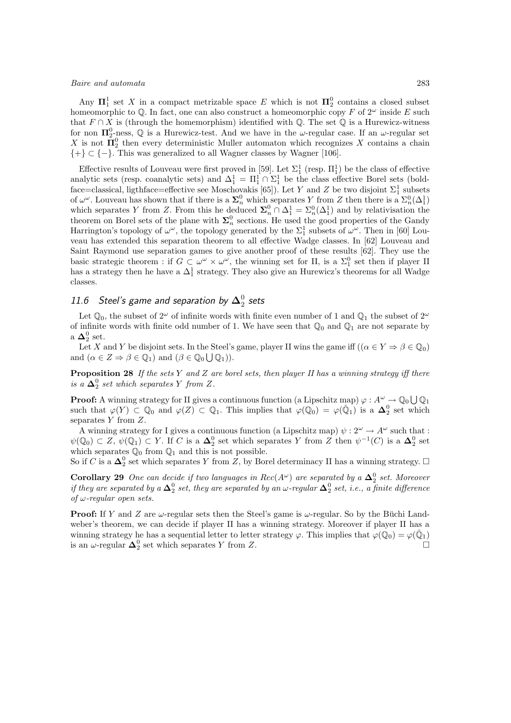Any  $\mathbf{\Pi}^1_1$  set X in a compact metrizable space E which is not  $\mathbf{\Pi}^0_2$  contains a closed subset homeomorphic to  $\mathbb Q$ . In fact, one can also construct a homeomorphic copy F of  $2^{\omega}$  inside E such that  $F \cap X$  is (through the homemorphism) identified with  $\mathbb{Q}$ . The set  $\mathbb{Q}$  is a Hurewicz-witness for non  $\Pi_2^0$ -ness,  $\mathbb Q$  is a Hurewicz-test. And we have in the  $\omega$ -regular case. If an  $\omega$ -regular set X is not  $\overline{\mathbf{H}}_2^0$  then every deterministic Muller automaton which recognizes X contains a chain  $\{+\}\subset\{-\}.$  This was generalized to all Wagner classes by Wagner [106].

Effective results of Louveau were first proved in [59]. Let  $\Sigma_1^1$  (resp.  $\Pi_1^1$ ) be the class of effective analytic sets (resp. coanalytic sets) and  $\Delta_1^1 = \Pi_1^1 \cap \Sigma_1^1$  be the class effective Borel sets (boldface=classical, ligthface=effective see Moschovakis [65]). Let Y and Z be two disjoint  $\Sigma_1^1$  subsets of  $\omega^{\omega}$ . Louveau has shown that if there is a  $\Sigma_n^0$  which separates Y from Z then there is a  $\Sigma_n^0(\Delta_1^1)$ which separates Y from Z. From this he deduced  $\Sigma_n^0 \cap \Delta_1^1 = \Sigma_n^0(\Delta_1^1)$  and by relativisation the theorem on Borel sets of the plane with  $\Sigma_n^0$  sections. He used the good properties of the Gandy Harrington's topology of  $\omega^{\omega}$ , the topology generated by the  $\Sigma_1^1$  subsets of  $\omega^{\omega}$ . Then in [60] Louveau has extended this separation theorem to all effective Wadge classes. In [62] Louveau and Saint Raymond use separation games to give another proof of these results [62]. They use the basic strategic theorem : if  $G \subset \omega^{\omega} \times \omega^{\omega}$ , the winning set for II, is a  $\Sigma_1^0$  set then if player II has a strategy then he have a  $\Delta_1^1$  strategy. They also give an Hurewicz's theorems for all Wadge classes.

# 11.6 Steel's game and separation by  ${\bf \Delta}^0_2$  sets

Let  $\mathbb{Q}_0$ , the subset of  $2^{\omega}$  of infinite words with finite even number of 1 and  $\mathbb{Q}_1$  the subset of  $2^{\omega}$ of infinite words with finite odd number of 1. We have seen that  $\mathbb{Q}_0$  and  $\mathbb{Q}_1$  are not separate by a  $\Delta_2^0$  set.

Let X and Y be disjoint sets. In the Steel's game, player II wins the game iff  $((\alpha \in Y \Rightarrow \beta \in \mathbb{Q}_0)$ and  $(\alpha \in Z \Rightarrow \beta \in \mathbb{Q}_1)$  and  $(\beta \in \mathbb{Q}_0 \cup \mathbb{Q}_1)$ .

**Proposition 28** If the sets Y and Z are borel sets, then player II has a winning strategy iff there is a  $\Delta_2^0$  set which separates Y from Z.

**Proof:** A winning strategy for II gives a continuous function (a Lipschitz map)  $\varphi: A^{\omega} \to \mathbb{Q}_0 \bigcup \mathbb{Q}_1$ such that  $\varphi(Y) \subset \mathbb{Q}_0$  and  $\varphi(Z) \subset \mathbb{Q}_1$ . This implies that  $\varphi(\mathbb{Q}_0) = \varphi(\check{\mathbb{Q}}_1)$  is a  $\mathbf{\Delta}_2^0$  set which separates  $Y$  from  $Z$ .

A winning strategy for I gives a continuous function (a Lipschitz map)  $\psi: 2^{\omega} \to A^{\omega}$  such that :  $\psi(\mathbb{Q}_0) \subset Z$ ,  $\psi(\mathbb{Q}_1) \subset Y$ . If C is a  $\mathbb{\Delta}^0_2$  set which separates Y from Z then  $\psi^{-1}(C)$  is a  $\mathbb{\Delta}^0_2$  set which separates  $\mathbb{Q}_0$  from  $\mathbb{Q}_1$  and this is not possible.

So if C is a  $\Delta_2^0$  set which separates Y from Z, by Borel determinacy II has a winning strategy.  $\Box$ 

**Corollary 29** One can decide if two languages in  $Rec(A^{\omega})$  are separated by a  $\Delta_2^0$  set. Moreover if they are separated by a  $\Delta^0_2$  set, they are separated by an  $\omega$ -regular  $\Delta^0_2$  set, i.e., a finite difference of  $\omega$ -regular open sets.

**Proof:** If Y and Z are  $\omega$ -regular sets then the Steel's game is  $\omega$ -regular. So by the Büchi Landweber's theorem, we can decide if player II has a winning strategy. Moreover if player II has a winning strategy he has a sequential letter to letter strategy  $\varphi$ . This implies that  $\varphi(\bar{\mathbb{Q}}_0) = \varphi(\check{\mathbb{Q}}_1)$ is an  $\omega$ -regular  $\Delta_2^0$  set which separates Y from Z.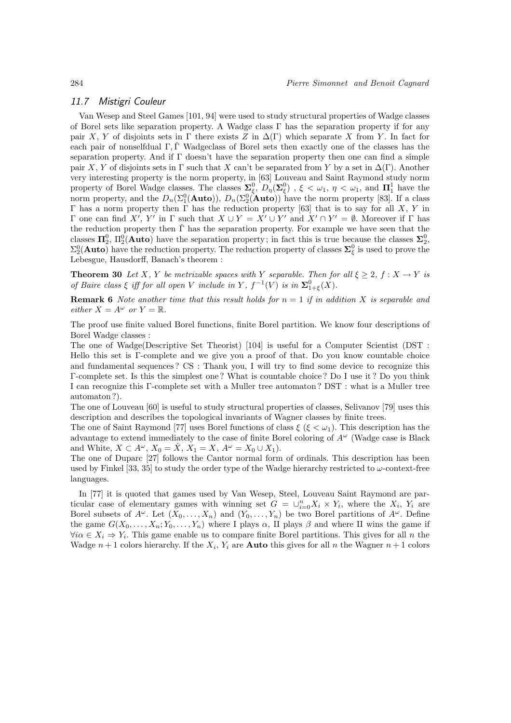## 11.7 Mistigri Couleur

Van Wesep and Steel Games [101, 94] were used to study structural properties of Wadge classes of Borel sets like separation property. A Wadge class  $\Gamma$  has the separation property if for any pair X, Y of disjoints sets in  $\Gamma$  there exists Z in  $\Delta(\Gamma)$  which separate X from Y. In fact for each pair of nonselfdual Γ, Γˇ Wadgeclass of Borel sets then exactly one of the classes has the separation property. And if Γ doesn't have the separation property then one can find a simple pair X, Y of disjoints sets in  $\Gamma$  such that X can't be separated from Y by a set in  $\Delta(\Gamma)$ . Another very interesting property is the norm property, in [63] Louveau and Saint Raymond study norm property of Borel Wadge classes. The classes  $\Sigma_{\xi}^{0}$ ,  $D_{\eta}(\Sigma_{\xi}^{0})$  ,  $\xi < \omega_1$ ,  $\eta < \omega_1$ , and  $\Pi_1^1$  have the norm property, and the  $D_n(\Sigma_1^0(\text{Auto})), D_n(\Sigma_2^0(\text{Auto}))$  have the norm property [83]. If a class Γ has a norm property then Γ has the reduction property [63] that is to say for all X, Y in Γ one can find X', Y' in Γ such that  $X \cup Y = X' \cup Y'$  and  $X' \cap Y' = ∅$ . Moreover if Γ has the reduction property then  $\Gamma$  has the separation property. For example we have seen that the classes  $\Pi_2^0$ ,  $\Pi_2^0$ (**Auto**) have the separation property; in fact this is true because the classes  $\Sigma_2^0$ ,  $\Sigma_2^0(\text{Auto})$  have the reduction property. The reduction property of classes  $\Sigma_\xi^0$  is used to prove the Lebesgue, Hausdorff, Banach's theorem :

**Theorem 30** Let X, Y be metrizable spaces with Y separable. Then for all  $\xi \geq 2$ ,  $f : X \to Y$  is of Baire class  $\xi$  iff for all open V include in Y,  $f^{-1}(V)$  is in  $\Sigma^0_{1+\xi}(X)$ .

**Remark 6** Note another time that this result holds for  $n = 1$  if in addition X is separable and either  $X = A^{\omega}$  or  $Y = \mathbb{R}$ .

The proof use finite valued Borel functions, finite Borel partition. We know four descriptions of Borel Wadge classes :

The one of Wadge(Descriptive Set Theorist) [104] is useful for a Computer Scientist (DST : Hello this set is Γ-complete and we give you a proof of that. Do you know countable choice and fundamental sequences ? CS : Thank you, I will try to find some device to recognize this Γ-complete set. Is this the simplest one ? What is countable choice ? Do I use it ? Do you think I can recognize this Γ-complete set with a Muller tree automaton ? DST : what is a Muller tree automaton ?).

The one of Louveau [60] is useful to study structural properties of classes, Selivanov [79] uses this description and describes the topological invariants of Wagner classes by finite trees.

The one of Saint Raymond [77] uses Borel functions of class  $\xi$  ( $\xi < \omega_1$ ). This description has the advantage to extend immediately to the case of finite Borel coloring of  $A^{\omega}$  (Wadge case is Black and White,  $X \subset A^{\omega}$ ,  $X_0 = \check{X}$ ,  $X_1 = X$ ,  $A^{\omega} = X_0 \cup X_1$ .

The one of Duparc [27] follows the Cantor normal form of ordinals. This description has been used by Finkel [33, 35] to study the order type of the Wadge hierarchy restricted to  $\omega$ -context-free languages.

In [77] it is quoted that games used by Van Wesep, Steel, Louveau Saint Raymond are particular case of elementary games with winning set  $G = \bigcup_{i=0}^{n} X_i \times Y_i$ , where the  $X_i$ ,  $Y_i$  are Borel subsets of  $A^{\omega}$ . Let  $(X_0, \ldots, X_n)$  and  $(Y_0, \ldots, Y_n)$  be two Borel partitions of  $A^{\omega}$ . Define the game  $G(X_0, \ldots, X_n; Y_0, \ldots, Y_n)$  where I plays  $\alpha$ , II plays  $\beta$  and where II wins the game if  $\forall i \alpha \in X_i \Rightarrow Y_i$ . This game enable us to compare finite Borel partitions. This gives for all n the Wadge  $n+1$  colors hierarchy. If the  $X_i$ ,  $Y_i$  are **Auto** this gives for all n the Wagner  $n+1$  colors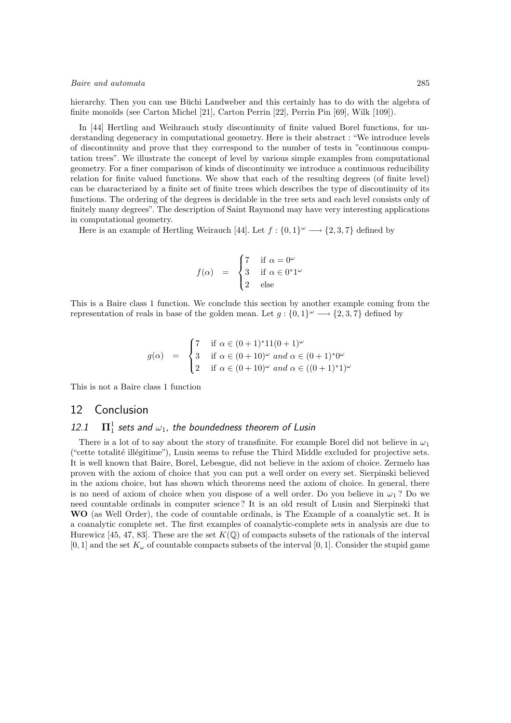hierarchy. Then you can use Büchi Landweber and this certainly has to do with the algebra of finite monoïds (see Carton Michel [21], Carton Perrin [22], Perrin Pin  $[69]$ , Wilk  $[109]$ ).

In [44] Hertling and Weihrauch study discontinuity of finite valued Borel functions, for understanding degeneracy in computational geometry. Here is their abstract : "We introduce levels of discontinuity and prove that they correspond to the number of tests in "continuous computation trees". We illustrate the concept of level by various simple examples from computational geometry. For a finer comparison of kinds of discontinuity we introduce a continuous reducibility relation for finite valued functions. We show that each of the resulting degrees (of finite level) can be characterized by a finite set of finite trees which describes the type of discontinuity of its functions. The ordering of the degrees is decidable in the tree sets and each level consists only of finitely many degrees". The description of Saint Raymond may have very interesting applications in computational geometry.

Here is an example of Hertling Weirauch [44]. Let  $f: \{0,1\}^{\omega} \longrightarrow \{2,3,7\}$  defined by

$$
f(\alpha) = \begin{cases} 7 & \text{if } \alpha = 0^{\omega} \\ 3 & \text{if } \alpha \in 0^*1^{\omega} \\ 2 & \text{else} \end{cases}
$$

This is a Baire class 1 function. We conclude this section by another example coming from the representation of reals in base of the golden mean. Let  $g: \{0,1\}^\omega \longrightarrow \{2,3,7\}$  defined by

$$
g(\alpha) = \begin{cases} 7 & \text{if } \alpha \in (0+1)^* 11(0+1)^{\omega} \\ 3 & \text{if } \alpha \in (0+10)^{\omega} \text{ and } \alpha \in (0+1)^* 0^{\omega} \\ 2 & \text{if } \alpha \in (0+10)^{\omega} \text{ and } \alpha \in ((0+1)^* 1)^{\omega} \end{cases}
$$

This is not a Baire class 1 function

## 12 Conclusion

#### $12.1$  $\frac{1}{1}$  sets and  $\omega_1$ , the boundedness theorem of Lusin

There is a lot of to say about the story of transfinite. For example Borel did not believe in  $\omega_1$ ("cette totalité illégitime"), Lusin seems to refuse the Third Middle excluded for projective sets. It is well known that Baire, Borel, Lebesgue, did not believe in the axiom of choice. Zermelo has proven with the axiom of choice that you can put a well order on every set. Sierpinski believed in the axiom choice, but has shown which theorems need the axiom of choice. In general, there is no need of axiom of choice when you dispose of a well order. Do you believe in  $\omega_1$ ? Do we need countable ordinals in computer science ? It is an old result of Lusin and Sierpinski that WO (as Well Order), the code of countable ordinals, is The Example of a coanalytic set. It is a coanalytic complete set. The first examples of coanalytic-complete sets in analysis are due to Hurewicz [45, 47, 83]. These are the set  $K(\mathbb{Q})$  of compacts subsets of the rationals of the interval  $[0, 1]$  and the set  $K_{\omega}$  of countable compacts subsets of the interval  $[0, 1]$ . Consider the stupid game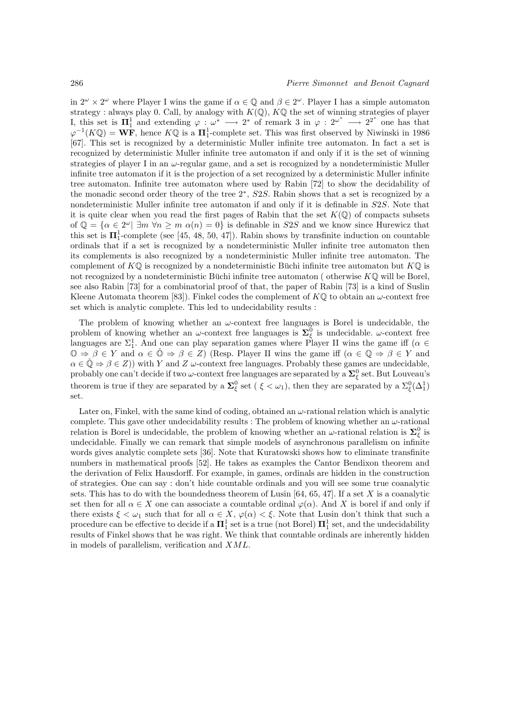in  $2^{\omega} \times 2^{\omega}$  where Player I wins the game if  $\alpha \in \mathbb{Q}$  and  $\beta \in 2^{\omega}$ . Player I has a simple automaton strategy : always play 0. Call, by analogy with  $K(\mathbb{Q})$ ,  $K\mathbb{Q}$  the set of winning strategies of player I, this set is  $\Pi_1^1$  and extending  $\varphi: \omega^* \longrightarrow 2^*$  of remark 3 in  $\varphi: 2^{\omega^*} \longrightarrow 2^{2^*}$  one has that  $\varphi^{-1}(K\mathbb{Q}) = \mathbf{WF}$ , hence  $K\mathbb{Q}$  is a  $\Pi_1^1$ -complete set. This was first observed by Niwinski in 1986 [67]. This set is recognized by a deterministic Muller infinite tree automaton. In fact a set is recognized by deterministic Muller infinite tree automaton if and only if it is the set of winning strategies of player I in an  $\omega$ -regular game, and a set is recognized by a nondeterministic Muller infinite tree automaton if it is the projection of a set recognized by a deterministic Muller infinite tree automaton. Infinite tree automaton where used by Rabin [72] to show the decidability of the monadic second order theory of the tree 2<sup>\*</sup>, S2S. Rabin shows that a set is recognized by a nondeterministic Muller infinite tree automaton if and only if it is definable in S2S. Note that it is quite clear when you read the first pages of Rabin that the set  $K(\mathbb{Q})$  of compacts subsets of  $\mathbb{Q} = {\alpha \in 2^{\omega} \mid \exists m \forall n \ge m \alpha(n) = 0}$  is definable in S2S and we know since Hurewicz that this set is  $\Pi_1^1$ -complete (see [45, 48, 50, 47]). Rabin shows by transfinite induction on countable ordinals that if a set is recognized by a nondeterministic Muller infinite tree automaton then its complements is also recognized by a nondeterministic Muller infinite tree automaton. The complement of  $K\mathbb{Q}$  is recognized by a nondeterministic Büchi infinite tree automaton but  $K\mathbb{Q}$  is not recognized by a nondeterministic Buchi infinite tree automaton ( otherwise  $K\mathbb{Q}$  will be Borel, see also Rabin [73] for a combinatorial proof of that, the paper of Rabin [73] is a kind of Suslin Kleene Automata theorem [83]). Finkel codes the complement of  $K\mathbb{Q}$  to obtain an  $\omega$ -context free set which is analytic complete. This led to undecidability results :

The problem of knowing whether an  $\omega$ -context free languages is Borel is undecidable, the problem of knowing whether an  $\omega$ -context free languages is  $\Sigma_{\xi}^{0}$  is undecidable.  $\omega$ -context free languages are  $\Sigma_1^1$ . And one can play separation games where Player II wins the game iff ( $\alpha \in$  $\mathbb{O} \Rightarrow \beta \in Y$  and  $\alpha \in \mathbb{O} \Rightarrow \beta \in Z$ ) (Resp. Player II wins the game iff  $(\alpha \in \mathbb{Q} \Rightarrow \beta \in Y$  and  $\alpha \in \mathbb{Q} \Rightarrow \beta \in Z$ )) with Y and Z  $\omega$ -context free languages. Probably these games are undecidable, probably one can't decide if two  $\omega$ -context free languages are separated by a  $\bm{\Sigma}_\xi^0$  set. But Louveau's theorem is true if they are separated by a  $\Sigma_{\xi}^{0}$  set ( $\xi < \omega_1$ ), then they are separated by a  $\Sigma_{\xi}^{0}(\Delta_1^1)$ set.

Later on, Finkel, with the same kind of coding, obtained an  $\omega$ -rational relation which is analytic complete. This gave other undecidability results : The problem of knowing whether an  $\omega$ -rational relation is Borel is undecidable, the problem of knowing whether an  $\omega$ -rational relation is  $\Sigma_{\xi}^{0}$  is undecidable. Finally we can remark that simple models of asynchronous parallelism on infinite words gives analytic complete sets [36]. Note that Kuratowski shows how to eliminate transfinite numbers in mathematical proofs [52]. He takes as examples the Cantor Bendixon theorem and the derivation of Felix Hausdorff. For example, in games, ordinals are hidden in the construction of strategies. One can say : don't hide countable ordinals and you will see some true coanalytic sets. This has to do with the boundedness theorem of Lusin [64, 65, 47]. If a set X is a coanalytic set then for all  $\alpha \in X$  one can associate a countable ordinal  $\varphi(\alpha)$ . And X is borel if and only if there exists  $\xi < \omega_1$  such that for all  $\alpha \in X$ ,  $\varphi(\alpha) < \xi$ . Note that Lusin don't think that such a procedure can be effective to decide if a  $\mathbf{\Pi}^1_1$  set is a true (not Borel)  $\mathbf{\Pi}^1_1$  set, and the undecidability results of Finkel shows that he was right. We think that countable ordinals are inherently hidden in models of parallelism, verification and XML.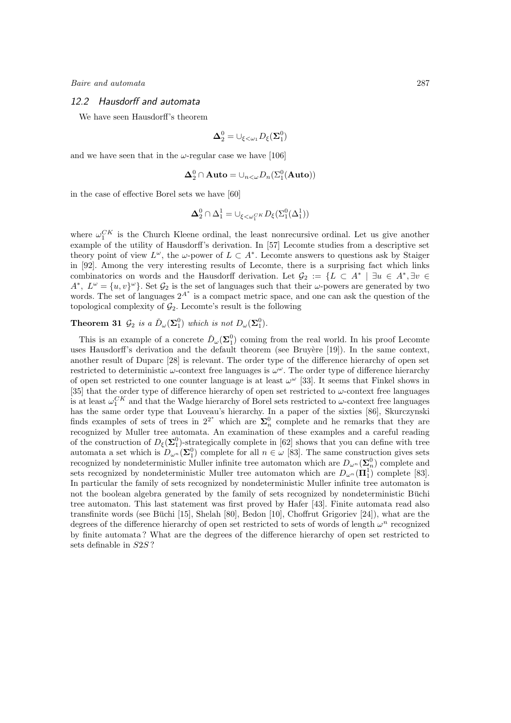## 12.2 Hausdorff and automata

We have seen Hausdorff's theorem

$$
\pmb{\Delta}^0_2 = \cup_{\xi<\omega_1} D_\xi(\pmb{\Sigma}^0_1)
$$

and we have seen that in the  $\omega$ -regular case we have [106]

$$
\mathbf{\Delta}^0_2 \cap \mathbf{Auto} = \cup_{n < \omega} D_n(\Sigma^0_1(\mathbf{Auto}))
$$

in the case of effective Borel sets we have [60]

$$
\pmb{\Delta}^0_2 \cap \Delta^1_1 = \cup_{\xi < \omega_1^{CK}} D_{\xi}(\Sigma^0_1(\Delta^1_1))
$$

where  $\omega_1^{CK}$  is the Church Kleene ordinal, the least nonrecursive ordinal. Let us give another example of the utility of Hausdorff's derivation. In [57] Lecomte studies from a descriptive set theory point of view  $L^{\omega}$ , the  $\omega$ -power of  $L \subset A^*$ . Lecomte answers to questions ask by Staiger in [92]. Among the very interesting results of Lecomte, there is a surprising fact which links combinatorics on words and the Hausdorff derivation. Let  $G_2 := \{L \subset A^* \mid \exists u \in A^*, \exists v \in \mathbb{R} \}$  $A^*, L^{\omega} = \{u, v\}^{\omega}\}.$  Set  $\mathcal{G}_2$  is the set of languages such that their  $\omega$ -powers are generated by two words. The set of languages  $2^{A^*}$  is a compact metric space, and one can ask the question of the topological complexity of  $\mathcal{G}_2$ . Lecomte's result is the following

## **Theorem 31**  $\mathcal{G}_2$  is a  $\check{D}_{\omega}(\Sigma_1^0)$  which is not  $D_{\omega}(\Sigma_1^0)$ .

This is an example of a concrete  $\check{D}_{\omega}(\Sigma_1^0)$  coming from the real world. In his proof Lecomte uses Hausdorff's derivation and the default theorem (see Bruyère [19]). In the same context, another result of Duparc [28] is relevant. The order type of the difference hierarchy of open set restricted to deterministic  $\omega$ -context free languages is  $\omega^{\omega}$ . The order type of difference hierarchy of open set restricted to one counter language is at least  $\omega^{\omega}$  [33]. It seems that Finkel shows in [35] that the order type of difference hierarchy of open set restricted to  $\omega$ -context free languages is at least  $\omega_1^{CK}$  and that the Wadge hierarchy of Borel sets restricted to  $\omega$ -context free languages has the same order type that Louveau's hierarchy. In a paper of the sixties [86], Skurczynski finds examples of sets of trees in  $2^{2^*}$  which are  $\Sigma_n^0$  complete and he remarks that they are recognized by Muller tree automata. An examination of these examples and a careful reading of the construction of  $D_{\xi}(\Sigma_1^0)$ -strategically complete in [62] shows that you can define with tree automata a set which is  $D_{\omega^n}(\Sigma_1^0)$  complete for all  $n \in \omega$  [83]. The same construction gives sets recognized by nondeterministic Muller infinite tree automaton which are  $D_{\omega^n}(\Sigma_n^0)$  complete and sets recognized by nondeterministic Muller tree automaton which are  $D_{\omega^n}(\Pi_1^1)$  complete [83]. In particular the family of sets recognized by nondeterministic Muller infinite tree automaton is not the boolean algebra generated by the family of sets recognized by nondeterministic Büchi tree automaton. This last statement was first proved by Hafer [43]. Finite automata read also transfinite words (see Büchi [15], Shelah [80], Bedon [10], Choffrut Grigoriev [24]), what are the degrees of the difference hierarchy of open set restricted to sets of words of length  $\omega^n$  recognized by finite automata ? What are the degrees of the difference hierarchy of open set restricted to sets definable in S2S ?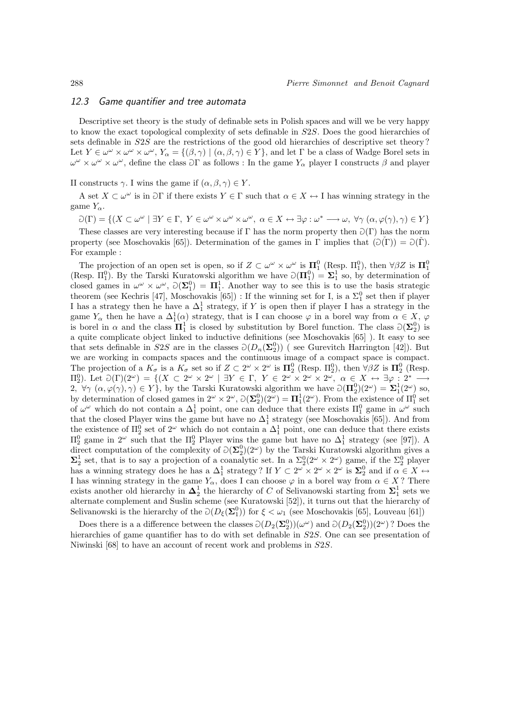## 12.3 Game quantifier and tree automata

Descriptive set theory is the study of definable sets in Polish spaces and will we be very happy to know the exact topological complexity of sets definable in S2S. Does the good hierarchies of sets definable in S2S are the restrictions of the good old hierarchies of descriptive set theory ? Let  $Y \in \omega^{\omega} \times \omega^{\omega} \times \omega^{\omega}$ ,  $Y_{\alpha} = \{(\beta, \gamma) \mid (\alpha, \beta, \gamma) \in Y\}$ , and let  $\Gamma$  be a class of Wadge Borel sets in  $\omega^{\omega} \times \omega^{\omega} \times \omega^{\omega}$ , define the class  $\partial \Gamma$  as follows : In the game  $Y_{\alpha}$  player I constructs  $\beta$  and player

II constructs  $\gamma$ . I wins the game if  $(\alpha, \beta, \gamma) \in Y$ .

A set  $X \subset \omega^\omega$  is in  $\partial \Gamma$  if there exists  $Y \in \Gamma$  such that  $\alpha \in X \leftrightarrow I$  has winning strategy in the game  $Y_{\alpha}$ .

 $\mathcal{D}(\Gamma) = \{(X \subset \omega^{\omega} \mid \exists Y \in \Gamma, Y \in \omega^{\omega} \times \omega^{\omega} \times \omega^{\omega}, \alpha \in X \leftrightarrow \exists \varphi : \omega^* \longrightarrow \omega, \forall \gamma (\alpha, \varphi(\gamma), \gamma) \in Y\}$ 

These classes are very interesting because if  $\Gamma$  has the norm property then  $\partial(\Gamma)$  has the norm property (see Moschovakis [65]). Determination of the games in Γ implies that  $(\partial(\Gamma)) = \partial(\Gamma)$ . For example :

The projection of an open set is open, so if  $Z \subset \omega^{\omega} \times \omega^{\omega}$  is  $\Pi_1^0$  (Resp.  $\Pi_1^0$ ), then  $\forall \beta Z$  is  $\Pi_1^0$ (Resp.  $\Pi_1^0$ ). By the Tarski Kuratowski algorithm we have  $\partial(\Pi_1^0) = \Sigma_1^1$  so, by determination of closed games in  $\omega^{\omega} \times \omega^{\omega}$ ,  $\partial(\Sigma_1^0) = \Pi_1^1$ . Another way to see this is to use the basis strategic theorem (see Kechris [47], Moschovakis [65]) : If the winning set for I, is a  $\Sigma_1^0$  set then if player I has a strategy then he have a  $\Delta_1^1$  strategy, if Y is open then if player I has a strategy in the game  $Y_{\alpha}$  then he have a  $\Delta_1^1(\alpha)$  strategy, that is I can choose  $\varphi$  in a borel way from  $\alpha \in X$ ,  $\varphi$ is borel in  $\alpha$  and the class  $\overline{\mathbf{I}}_1^1$  is closed by substitution by Borel function. The class  $\partial(\Sigma_2^0)$  is a quite complicate object linked to inductive definitions (see Moschovakis [65] ). It easy to see that sets definable in  $S2S$  are in the classes  $\mathcal{O}(D_n(\Sigma_2^0))$  (see Gurevitch Harrington [42]). But we are working in compacts spaces and the continuous image of a compact space is compact. The projection of a  $K_{\sigma}$  is a  $K_{\sigma}$  set so if  $Z \subset 2^{\omega} \times 2^{\omega}$  is  $\Pi_2^0$  (Resp.  $\Pi_2^0$ ), then  $\forall \beta Z$  is  $\Pi_2^0$  (Resp.  $\Pi_2^0$ ). Let  $\mathcal{O}(\Gamma)(2^{\omega}) = \{(X \subset 2^{\omega} \times 2^{\omega} \mid \exists Y \in \Gamma, Y \in 2^{\omega} \times 2^{\omega} \times 2^{\omega}, \alpha \in X \leftrightarrow \exists \varphi : 2^* \longrightarrow \varphi\}$  $2, \forall \gamma \ (\alpha, \varphi(\gamma), \gamma) \in Y$ , by the Tarski Kuratowski algorithm we have  $\partial(\Pi_2^0)(2^{\omega}) = \Sigma_1^1(2^{\omega})$  so, by determination of closed games in  $2^{\omega} \times 2^{\omega}$ ,  $\mathcal{O}(\Sigma_2^0)(2^{\omega}) = \Pi_1^1(2^{\omega})$ . From the existence of  $\Pi_1^0$  set of  $\omega^{\omega}$  which do not contain a  $\Delta_1^1$  point, one can deduce that there exists  $\Pi_1^0$  game in  $\omega^{\omega}$  such that the closed Player wins the game but have no  $\Delta_1^1$  strategy (see Moschovakis [65]). And from the existence of  $\Pi_2^0$  set of  $2^{\omega}$  which do not contain a  $\Delta_1^1$  point, one can deduce that there exists  $\Pi_2^0$  game in 2<sup>ω</sup> such that the  $\Pi_2^0$  Player wins the game but have no  $\Delta_1^1$  strategy (see [97]). A direct computation of the complexity of  $\mathcal{O}(\Sigma_2^0)(2^\omega)$  by the Tarski Kuratowski algorithm gives a  $\Sigma_2^1$  set, that is to say a projection of a coanalytic set. In a  $\Sigma_2^0(2^\omega \times 2^\omega)$  game, if the  $\Sigma_2^0$  player has a winning strategy does he has a  $\Delta_1^1$  strategy? If  $Y \subset 2^{\omega} \times 2^{\omega} \times 2^{\omega}$  is  $\Sigma_2^0$  and if  $\alpha \in X \leftrightarrow$ I has winning strategy in the game  $Y_\alpha$ , does I can choose  $\varphi$  in a borel way from  $\alpha \in X$ ? There exists another old hierarchy in  $\Delta_2^1$  the hierarchy of C of Selivanowski starting from  $\Sigma_1^1$  sets we alternate complement and Suslin scheme (see Kuratowski [52]), it turns out that the hierarchy of Selivanowski is the hierarchy of the  $\mathcal{O}(D_{\xi}(\Sigma_1^0))$  for  $\xi < \omega_1$  (see Moschovakis [65], Louveau [61])

Does there is a a difference between the classes  $\mathcal{D}(D_2(\Sigma_2^0))(\omega^{\omega})$  and  $\mathcal{D}(D_2(\Sigma_2^0))(2^{\omega})$ ? Does the hierarchies of game quantifier has to do with set definable in S2S. One can see presentation of Niwinski [68] to have an account of recent work and problems in S2S.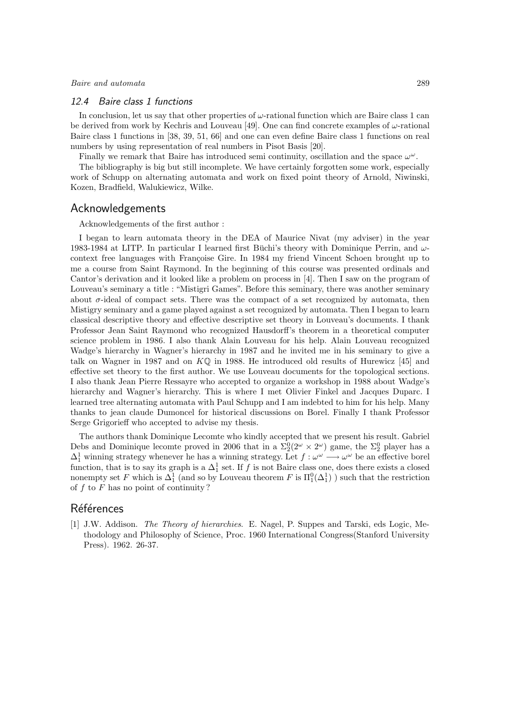#### 12.4 Baire class 1 functions

In conclusion, let us say that other properties of  $\omega$ -rational function which are Baire class 1 can be derived from work by Kechris and Louveau [49]. One can find concrete examples of  $\omega$ -rational Baire class 1 functions in [38, 39, 51, 66] and one can even define Baire class 1 functions on real numbers by using representation of real numbers in Pisot Basis [20].

Finally we remark that Baire has introduced semi continuity, oscillation and the space  $\omega^{\omega}$ .

The bibliography is big but still incomplete. We have certainly forgotten some work, especially work of Schupp on alternating automata and work on fixed point theory of Arnold, Niwinski, Kozen, Bradfield, Walukiewicz, Wilke.

## Acknowledgements

Acknowledgements of the first author :

I began to learn automata theory in the DEA of Maurice Nivat (my adviser) in the year 1983-1984 at LITP. In particular I learned first Büchi's theory with Dominique Perrin, and  $\omega$ context free languages with Françoise Gire. In 1984 my friend Vincent Schoen brought up to me a course from Saint Raymond. In the beginning of this course was presented ordinals and Cantor's derivation and it looked like a problem on process in [4]. Then I saw on the program of Louveau's seminary a title : "Mistigri Games". Before this seminary, there was another seminary about  $\sigma$ -ideal of compact sets. There was the compact of a set recognized by automata, then Mistigry seminary and a game played against a set recognized by automata. Then I began to learn classical descriptive theory and effective descriptive set theory in Louveau's documents. I thank Professor Jean Saint Raymond who recognized Hausdorff's theorem in a theoretical computer science problem in 1986. I also thank Alain Louveau for his help. Alain Louveau recognized Wadge's hierarchy in Wagner's hierarchy in 1987 and he invited me in his seminary to give a talk on Wagner in 1987 and on  $K\mathbb{Q}$  in 1988. He introduced old results of Hurewicz [45] and effective set theory to the first author. We use Louveau documents for the topological sections. I also thank Jean Pierre Ressayre who accepted to organize a workshop in 1988 about Wadge's hierarchy and Wagner's hierarchy. This is where I met Olivier Finkel and Jacques Duparc. I learned tree alternating automata with Paul Schupp and I am indebted to him for his help. Many thanks to jean claude Dumoncel for historical discussions on Borel. Finally I thank Professor Serge Grigorieff who accepted to advise my thesis.

The authors thank Dominique Lecomte who kindly accepted that we present his result. Gabriel Debs and Dominique lecomte proved in 2006 that in a  $\Sigma_2^0(2^{\omega} \times 2^{\omega})$  game, the  $\Sigma_2^0$  player has a  $\Delta_1^1$  winning strategy whenever he has a winning strategy. Let  $f : \omega^{\omega} \longrightarrow \omega^{\omega}$  be an effective borel function, that is to say its graph is a  $\Delta_1^1$  set. If f is not Baire class one, does there exists a closed nonempty set F which is  $\Delta_1^1$  (and so by Louveau theorem F is  $\Pi_1^0(\Delta_1^1)$ ) such that the restriction of  $f$  to  $F$  has no point of continuity?

## Références

[1] J.W. Addison. The Theory of hierarchies. E. Nagel, P. Suppes and Tarski, eds Logic, Methodology and Philosophy of Science, Proc. 1960 International Congress(Stanford University Press). 1962. 26-37.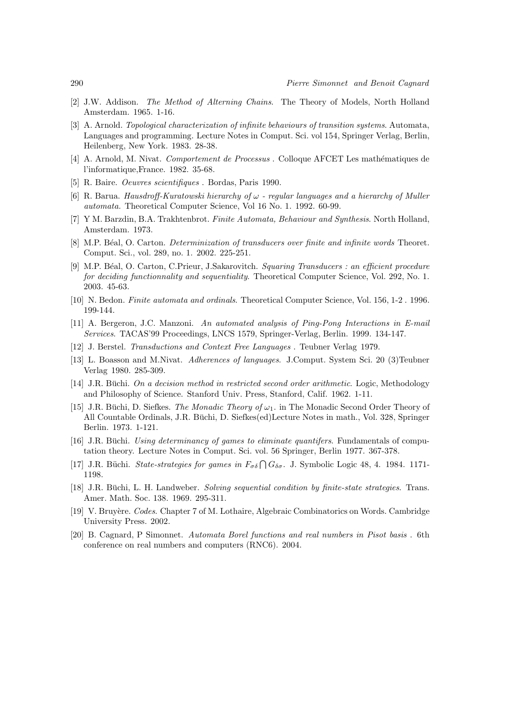- [2] J.W. Addison. The Method of Alterning Chains. The Theory of Models, North Holland Amsterdam. 1965. 1-16.
- [3] A. Arnold. Topological characterization of infinite behaviours of transition systems. Automata, Languages and programming. Lecture Notes in Comput. Sci. vol 154, Springer Verlag, Berlin, Heilenberg, New York. 1983. 28-38.
- [4] A. Arnold, M. Nivat. *Comportement de Processus*. Colloque AFCET Les mathématiques de l'informatique,France. 1982. 35-68.
- [5] R. Baire. Oeuvres scientifiques . Bordas, Paris 1990.
- [6] R. Barua. Hausdroff-Kuratowski hierarchy of  $\omega$  regular languages and a hierarchy of Muller automata. Theoretical Computer Science, Vol 16 No. 1. 1992. 60-99.
- [7] Y M. Barzdin, B.A. Trakhtenbrot. Finite Automata, Behaviour and Synthesis. North Holland, Amsterdam. 1973.
- [8] M.P. Béal, O. Carton. *Determinization of transducers over finite and infinite words* Theoret. Comput. Sci., vol. 289, no. 1. 2002. 225-251.
- [9] M.P. B´eal, O. Carton, C.Prieur, J.Sakarovitch. Squaring Transducers : an efficient procedure for deciding functionnality and sequentiality. Theoretical Computer Science, Vol. 292, No. 1. 2003. 45-63.
- [10] N. Bedon. Finite automata and ordinals. Theoretical Computer Science, Vol. 156, 1-2 . 1996. 199-144.
- [11] A. Bergeron, J.C. Manzoni. An automated analysis of Ping-Pong Interactions in E-mail Services. TACAS'99 Proceedings, LNCS 1579, Springer-Verlag, Berlin. 1999. 134-147.
- [12] J. Berstel. Transductions and Context Free Languages . Teubner Verlag 1979.
- [13] L. Boasson and M.Nivat. Adherences of languages. J.Comput. System Sci. 20 (3)Teubner Verlag 1980. 285-309.
- $[14]$  J.R. Büchi. On a decision method in restricted second order arithmetic. Logic, Methodology and Philosophy of Science. Stanford Univ. Press, Stanford, Calif. 1962. 1-11.
- [15] J.R. Büchi, D. Siefkes. The Monadic Theory of  $\omega_1$ . in The Monadic Second Order Theory of All Countable Ordinals, J.R. Büchi, D. Siefkes(ed)Lecture Notes in math., Vol. 328, Springer Berlin. 1973. 1-121.
- $[16]$  J.R. Buchi. Using determinancy of games to eliminate quantifers. Fundamentals of computation theory. Lecture Notes in Comput. Sci. vol. 56 Springer, Berlin 1977. 367-378.
- [17] J.R. Büchi. State-strategies for games in  $F_{\sigma\delta} \bigcap G_{\delta\sigma}$ . J. Symbolic Logic 48, 4. 1984. 1171-1198.
- [18] J.R. Büchi, L. H. Landweber. Solving sequential condition by finite-state strategies. Trans. Amer. Math. Soc. 138. 1969. 295-311.
- [19] V. Bruyère. Codes. Chapter 7 of M. Lothaire, Algebraic Combinatorics on Words. Cambridge University Press. 2002.
- [20] B. Cagnard, P Simonnet. Automata Borel functions and real numbers in Pisot basis . 6th conference on real numbers and computers (RNC6). 2004.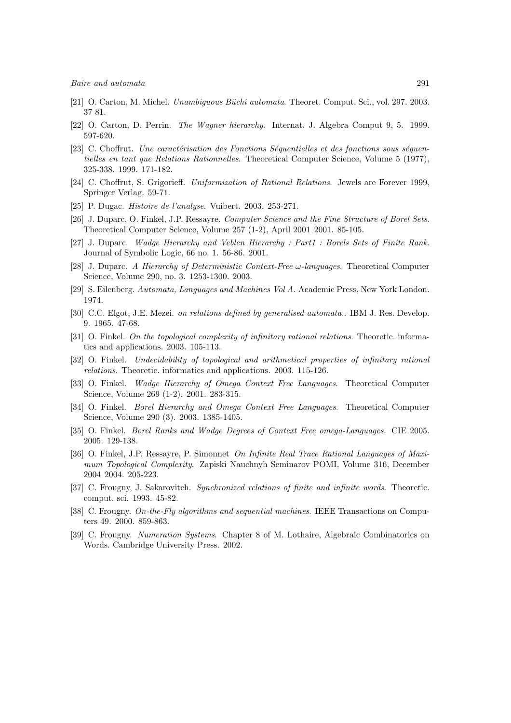- [21] O. Carton, M. Michel. Unambiguous Büchi automata. Theoret. Comput. Sci., vol. 297. 2003. 37 81.
- [22] O. Carton, D. Perrin. The Wagner hierarchy. Internat. J. Algebra Comput 9, 5. 1999. 597-620.
- [23] C. Choffrut. Une caractérisation des Fonctions Séquentielles et des fonctions sous séquentielles en tant que Relations Rationnelles. Theoretical Computer Science, Volume 5 (1977), 325-338. 1999. 171-182.
- [24] C. Choffrut, S. Grigorieff. Uniformization of Rational Relations. Jewels are Forever 1999, Springer Verlag. 59-71.
- [25] P. Dugac. Histoire de l'analyse. Vuibert. 2003. 253-271.
- [26] J. Duparc, O. Finkel, J.P. Ressayre. Computer Science and the Fine Structure of Borel Sets. Theoretical Computer Science, Volume 257 (1-2), April 2001 2001. 85-105.
- [27] J. Duparc. Wadge Hierarchy and Veblen Hierarchy : Part1 : Borels Sets of Finite Rank. Journal of Symbolic Logic, 66 no. 1. 56-86. 2001.
- [28] J. Duparc. A Hierarchy of Deterministic Context-Free  $\omega$ -languages. Theoretical Computer Science, Volume 290, no. 3. 1253-1300. 2003.
- [29] S. Eilenberg. Automata, Languages and Machines Vol A. Academic Press, New York London. 1974.
- [30] C.C. Elgot, J.E. Mezei. on relations defined by generalised automata.. IBM J. Res. Develop. 9. 1965. 47-68.
- [31] O. Finkel. On the topological complexity of infinitary rational relations. Theoretic. informatics and applications. 2003. 105-113.
- [32] O. Finkel. Undecidability of topological and arithmetical properties of infinitary rational relations. Theoretic. informatics and applications. 2003. 115-126.
- [33] O. Finkel. Wadge Hierarchy of Omega Context Free Languages. Theoretical Computer Science, Volume 269 (1-2). 2001. 283-315.
- [34] O. Finkel. *Borel Hierarchy and Omega Context Free Languages*. Theoretical Computer Science, Volume 290 (3). 2003. 1385-1405.
- [35] O. Finkel. Borel Ranks and Wadge Degrees of Context Free omega-Languages. CIE 2005. 2005. 129-138.
- [36] O. Finkel, J.P. Ressayre, P. Simonnet On Infinite Real Trace Rational Languages of Maximum Topological Complexity. Zapiski Nauchnyh Seminarov POMI, Volume 316, December 2004 2004. 205-223.
- [37] C. Frougny, J. Sakarovitch. Synchronized relations of finite and infinite words. Theoretic. comput. sci. 1993. 45-82.
- [38] C. Frougny. On-the-Fly algorithms and sequential machines. IEEE Transactions on Computers 49. 2000. 859-863.
- [39] C. Frougny. Numeration Systems. Chapter 8 of M. Lothaire, Algebraic Combinatorics on Words. Cambridge University Press. 2002.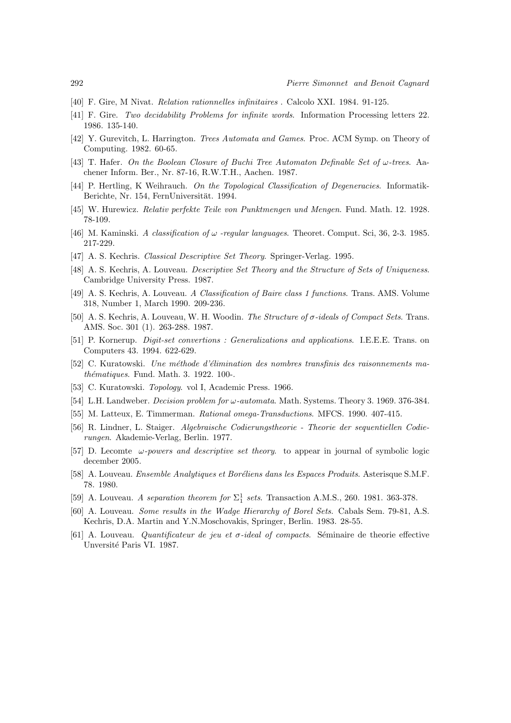- [40] F. Gire, M Nivat. Relation rationnelles infinitaires . Calcolo XXI. 1984. 91-125.
- [41] F. Gire. Two decidability Problems for infinite words. Information Processing letters 22. 1986. 135-140.
- [42] Y. Gurevitch, L. Harrington. Trees Automata and Games. Proc. ACM Symp. on Theory of Computing. 1982. 60-65.
- [43] T. Hafer. On the Boolean Closure of Buchi Tree Automaton Definable Set of ω-trees. Aachener Inform. Ber., Nr. 87-16, R.W.T.H., Aachen. 1987.
- [44] P. Hertling, K. Weihrauch. On the Topological Classification of Degeneracies. Informatik-Berichte, Nr. 154, FernUniversität. 1994.
- [45] W. Hurewicz. Relativ perfekte Teile von Punktmengen und Mengen. Fund. Math. 12. 1928. 78-109.
- [46] M. Kaminski. A classification of  $\omega$  -regular languages. Theoret. Comput. Sci, 36, 2-3. 1985. 217-229.
- [47] A. S. Kechris. Classical Descriptive Set Theory. Springer-Verlag. 1995.
- [48] A. S. Kechris, A. Louveau. *Descriptive Set Theory and the Structure of Sets of Uniqueness.* Cambridge University Press. 1987.
- [49] A. S. Kechris, A. Louveau. A Classification of Baire class 1 functions. Trans. AMS. Volume 318, Number 1, March 1990. 209-236.
- [50] A. S. Kechris, A. Louveau, W. H. Woodin. The Structure of σ-ideals of Compact Sets. Trans. AMS. Soc. 301 (1). 263-288. 1987.
- [51] P. Kornerup. Digit-set convertions : Generalizations and applications. I.E.E.E. Trans. on Computers 43. 1994. 622-629.
- [52] C. Kuratowski. Une méthode d'élimination des nombres transfinis des raisonnements ma $thématiques.$  Fund. Math. 3. 1922. 100-.
- [53] C. Kuratowski. Topology. vol I, Academic Press. 1966.
- [54] L.H. Landweber. *Decision problem for*  $\omega$ -automata. Math. Systems. Theory 3. 1969. 376-384.
- [55] M. Latteux, E. Timmerman. Rational omega-Transductions. MFCS. 1990. 407-415.
- [56] R. Lindner, L. Staiger. Algebraische Codierungstheorie Theorie der sequentiellen Codierungen. Akademie-Verlag, Berlin. 1977.
- [57] D. Lecomte ω-powers and descriptive set theory. to appear in journal of symbolic logic december 2005.
- [58] A. Louveau. *Ensemble Analytiques et Boréliens dans les Espaces Produits*. Asterisque S.M.F. 78. 1980.
- [59] A. Louveau. A separation theorem for  $\Sigma^1_1$  sets. Transaction A.M.S., 260. 1981. 363-378.
- [60] A. Louveau. Some results in the Wadge Hierarchy of Borel Sets. Cabals Sem. 79-81, A.S. Kechris, D.A. Martin and Y.N.Moschovakis, Springer, Berlin. 1983. 28-55.
- [61] A. Louveau. Quantificateur de jeu et  $\sigma$ -ideal of compacts. Séminaire de theorie effective Unversité Paris VI. 1987.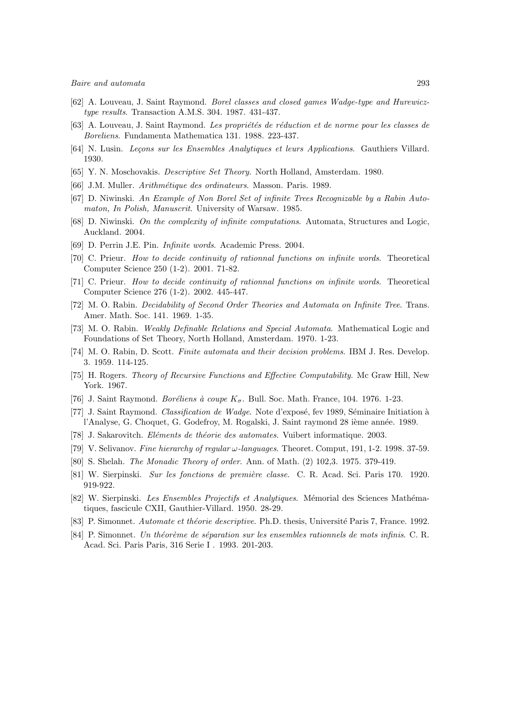- [62] A. Louveau, J. Saint Raymond. Borel classes and closed games Wadge-type and Hurewicztype results. Transaction A.M.S. 304. 1987. 431-437.
- [63] A. Louveau, J. Saint Raymond. Les propriétés de réduction et de norme pour les classes de Boreliens. Fundamenta Mathematica 131. 1988. 223-437.
- [64] N. Lusin. Lecons sur les Ensembles Analytiques et leurs Applications. Gauthiers Villard. 1930.
- [65] Y. N. Moschovakis. Descriptive Set Theory. North Holland, Amsterdam. 1980.
- [66] J.M. Muller. *Arithmétique des ordinateurs*. Masson. Paris. 1989.
- [67] D. Niwinski. An Example of Non Borel Set of infinite Trees Recognizable by a Rabin Automaton, In Polish, Manuscrit. University of Warsaw. 1985.
- [68] D. Niwinski. On the complexity of infinite computations. Automata, Structures and Logic, Auckland. 2004.
- [69] D. Perrin J.E. Pin. Infinite words. Academic Press. 2004.
- [70] C. Prieur. How to decide continuity of rationnal functions on infinite words. Theoretical Computer Science 250 (1-2). 2001. 71-82.
- [71] C. Prieur. How to decide continuity of rationnal functions on infinite words. Theoretical Computer Science 276 (1-2). 2002. 445-447.
- [72] M. O. Rabin. Decidability of Second Order Theories and Automata on Infinite Tree. Trans. Amer. Math. Soc. 141. 1969. 1-35.
- [73] M. O. Rabin. Weakly Definable Relations and Special Automata. Mathematical Logic and Foundations of Set Theory, North Holland, Amsterdam. 1970. 1-23.
- [74] M. O. Rabin, D. Scott. Finite automata and their decision problems. IBM J. Res. Develop. 3. 1959. 114-125.
- [75] H. Rogers. Theory of Recursive Functions and Effective Computability. Mc Graw Hill, New York. 1967.
- [76] J. Saint Raymond. Boréliens à coupe  $K_{\sigma}$ . Bull. Soc. Math. France, 104. 1976. 1-23.
- [77] J. Saint Raymond. Classification de Wadge. Note d'exposé, fev 1989, Séminaire Initiation à l'Analyse, G. Choquet, G. Godefroy, M. Rogalski, J. Saint raymond 28 ième année. 1989.
- [78] J. Sakarovitch. Eléments de théorie des automates. Vuibert informatique. 2003.
- [79] V. Selivanov. Fine hierarchy of regular  $\omega$ -languages. Theoret. Comput, 191, 1-2. 1998. 37-59.
- [80] S. Shelah. The Monadic Theory of order. Ann. of Math. (2) 102,3. 1975. 379-419.
- [81] W. Sierpinski. Sur les fonctions de première classe. C. R. Acad. Sci. Paris 170. 1920. 919-922.
- [82] W. Sierpinski. Les Ensembles Projectifs et Analytiques. Mémorial des Sciences Mathématiques, fascicule CXII, Gauthier-Villard. 1950. 28-29.
- [83] P. Simonnet. Automate et théorie descriptive. Ph.D. thesis, Université Paris 7, France. 1992.
- [84] P. Simonnet. Un théorème de séparation sur les ensembles rationnels de mots infinis. C. R. Acad. Sci. Paris Paris, 316 Serie I . 1993. 201-203.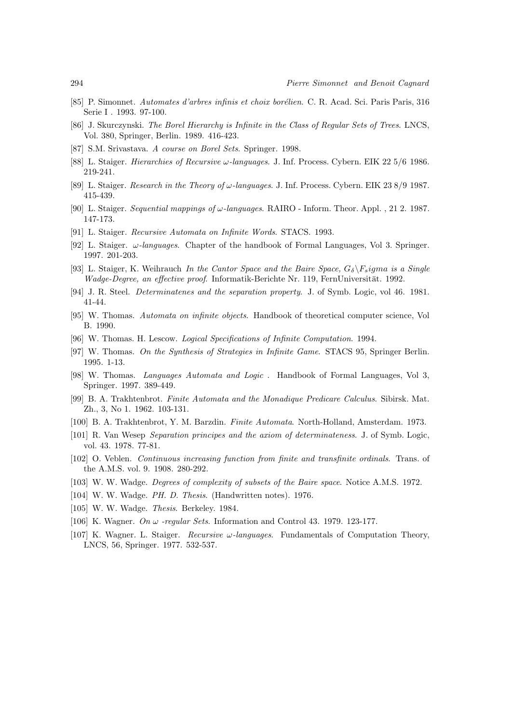- [85] P. Simonnet. Automates d'arbres infinis et choix borélien. C. R. Acad. Sci. Paris Paris, 316 Serie I . 1993. 97-100.
- [86] J. Skurczynski. The Borel Hierarchy is Infinite in the Class of Regular Sets of Trees. LNCS, Vol. 380, Springer, Berlin. 1989. 416-423.
- [87] S.M. Srivastava. A course on Borel Sets. Springer. 1998.
- [88] L. Staiger. Hierarchies of Recursive ω-languages. J. Inf. Process. Cybern. EIK 22 5/6 1986. 219-241.
- [89] L. Staiger. Research in the Theory of  $\omega$ -languages. J. Inf. Process. Cybern. EIK 23 8/9 1987. 415-439.
- [90] L. Staiger. Sequential mappings of  $\omega$ -languages. RAIRO Inform. Theor. Appl. , 21 2. 1987. 147-173.
- [91] L. Staiger. Recursive Automata on Infinite Words. STACS. 1993.
- [92] L. Staiger.  $\omega$ -languages. Chapter of the handbook of Formal Languages, Vol 3. Springer. 1997. 201-203.
- [93] L. Staiger, K. Weihrauch In the Cantor Space and the Baire Space,  $G_{\delta}$   $\backslash F_s$  igma is a Single Wadge-Degree, an effective proof. Informatik-Berichte Nr. 119, FernUniversität. 1992.
- [94] J. R. Steel. Determinatenes and the separation property. J. of Symb. Logic, vol 46. 1981. 41-44.
- [95] W. Thomas. Automata on infinite objects. Handbook of theoretical computer science, Vol B. 1990.
- [96] W. Thomas. H. Lescow. Logical Specifications of Infinite Computation. 1994.
- [97] W. Thomas. On the Synthesis of Strategies in Infinite Game. STACS 95, Springer Berlin. 1995. 1-13.
- [98] W. Thomas. Languages Automata and Logic . Handbook of Formal Languages, Vol 3, Springer. 1997. 389-449.
- [99] B. A. Trakhtenbrot. Finite Automata and the Monadique Predicare Calculus. Sibirsk. Mat. Zh., 3, No 1. 1962. 103-131.
- [100] B. A. Trakhtenbrot, Y. M. Barzdin. Finite Automata. North-Holland, Amsterdam. 1973.
- [101] R. Van Wesep Separation principes and the axiom of determinateness. J. of Symb. Logic, vol. 43. 1978. 77-81.
- [102] O. Veblen. Continuous increasing function from finite and transfinite ordinals. Trans. of the A.M.S. vol. 9. 1908. 280-292.
- [103] W. W. Wadge. Degrees of complexity of subsets of the Baire space. Notice A.M.S. 1972.
- [104] W. W. Wadge. PH. D. Thesis. (Handwritten notes). 1976.
- [105] W. W. Wadge. Thesis. Berkeley. 1984.
- [106] K. Wagner. On  $\omega$  -regular Sets. Information and Control 43. 1979. 123-177.
- [107] K. Wagner. L. Staiger. Recursive  $\omega$ -languages. Fundamentals of Computation Theory, LNCS, 56, Springer. 1977. 532-537.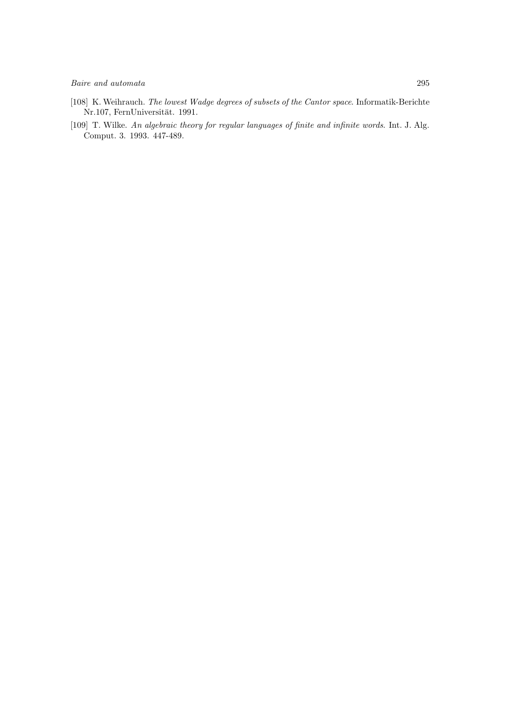- [108] K. Weihrauch. The lowest Wadge degrees of subsets of the Cantor space. Informatik-Berichte Nr.107, FernUniversität. 1991.
- [109] T. Wilke. An algebraic theory for regular languages of finite and infinite words. Int. J. Alg. Comput. 3. 1993. 447-489.